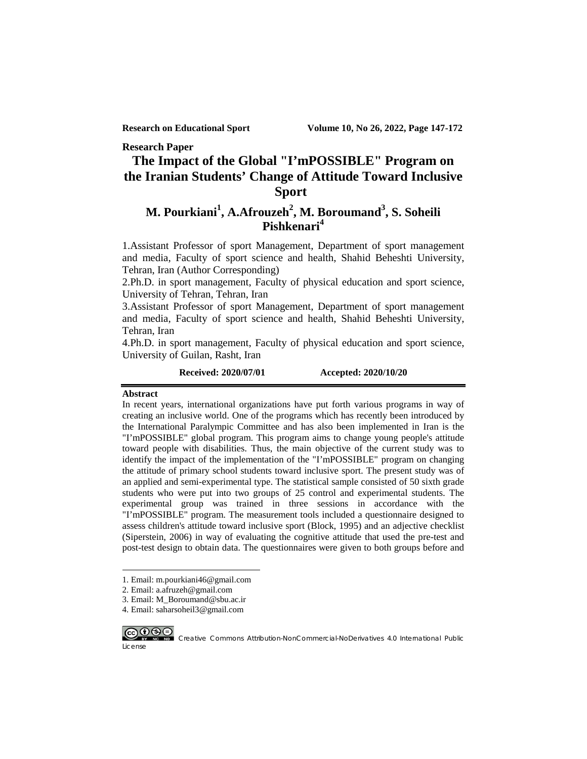**Research Paper**

# **The Impact of the Global "I'mPOSSIBLE" Program on the Iranian Students' Change of Attitude Toward Inclusive Sport[1](#page-0-0)**

# **M. Pourkiani<sup>1</sup> , A.Afrouzeh<sup>2</sup> , M. Boroumand3 , S. Soheili Pishkenari<sup>4</sup>**

1.Assistant Professor of sport Management, Department of sport management and media, Faculty of sport science and health, Shahid Beheshti University, Tehran, Iran (Author Corresponding)

2.Ph.D. in sport management, Faculty of physical education and sport science, University of Tehran, Tehran, Iran

3.Assistant Professor of sport Management, Department of sport management and media, Faculty of sport science and health, Shahid Beheshti University, Tehran, Iran

4.Ph.D. in sport management, Faculty of physical education and sport science, University of Guilan, Rasht, Iran

**Received: 2020/07/01 Accepted: 2020/10/20**

#### **Abstract**

In recent years, international organizations have put forth various programs in way of creating an inclusive world. One of the programs which has recently been introduced by the International Paralympic Committee and has also been implemented in Iran is the "I'mPOSSIBLE" global program. This program aims to change young people's attitude toward people with disabilities. Thus, the main objective of the current study was to identify the impact of the implementation of the "I'mPOSSIBLE" program on changing the attitude of primary school students toward inclusive sport. The present study was of an applied and semi-experimental type. The statistical sample consisted of 50 sixth grade students who were put into two groups of 25 control and experimental students. The experimental group was trained in three sessions in accordance with the "I'mPOSSIBLE" program. The measurement tools included a questionnaire designed to assess children's attitude toward inclusive sport (Block, 1995) and an adjective checklist (Siperstein, 2006) in way of evaluating the cognitive attitude that used the pre-test and post-test design to obtain data. The questionnaires were given to both groups before and

<sup>4.</sup> Email: saharsoheil3@gmail.com



License

 $\overline{a}$ 

<span id="page-0-0"></span><sup>1.</sup> Email: m.pourkiani46@gmail.com

<sup>2.</sup> Email: a.afruzeh@gmail.com

<sup>3.</sup> Email: M\_Boroumand@sbu.ac.ir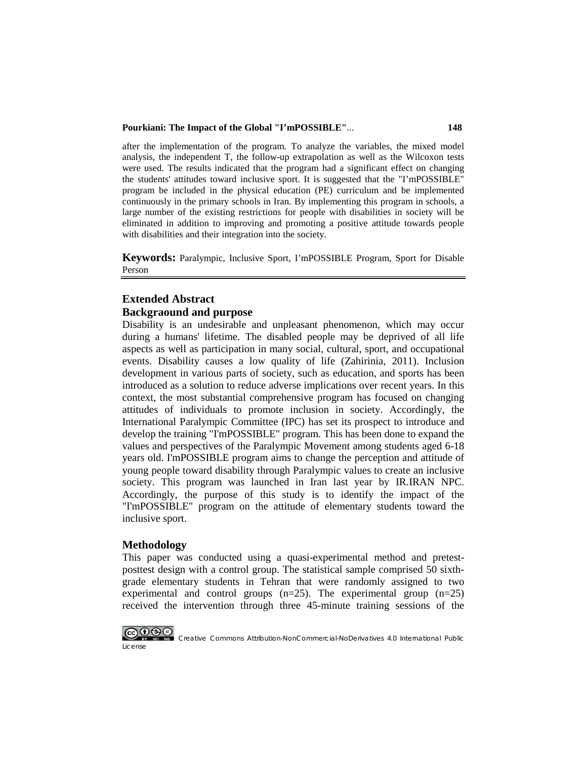#### **Pourkiani: The Impact of the Global "I'mPOSSIBLE"**... **148**

after the implementation of the program. To analyze the variables, the mixed model analysis, the independent T, the follow-up extrapolation as well as the Wilcoxon tests were used. The results indicated that the program had a significant effect on changing the students' attitudes toward inclusive sport. It is suggested that the "I'mPOSSIBLE" program be included in the physical education (PE) curriculum and be implemented continuously in the primary schools in Iran. By implementing this program in schools, a large number of the existing restrictions for people with disabilities in society will be eliminated in addition to improving and promoting a positive attitude towards people with disabilities and their integration into the society.

**Keywords:** Paralympic, Inclusive Sport, I'mPOSSIBLE Program, Sport for Disable Person

# **Extended Abstract Backgraound and purpose**

Disability is an undesirable and unpleasant phenomenon, which may occur during a humans' lifetime. The disabled people may be deprived of all life aspects as well as participation in many social, cultural, sport, and occupational events. Disability causes a low quality of life (Zahirinia, 2011). Inclusion development in various parts of society, such as education, and sports has been introduced as a solution to reduce adverse implications over recent years. In this context, the most substantial comprehensive program has focused on changing attitudes of individuals to promote inclusion in society. Accordingly, the International Paralympic Committee (IPC) has set its prospect to introduce and develop the training "I'mPOSSIBLE" program. This has been done to expand the values and perspectives of the Paralympic Movement among students aged 6-18 years old. I'mPOSSIBLE program aims to change the perception and attitude of young people toward disability through Paralympic values to create an inclusive society. This program was launched in Iran last year by IR.IRAN NPC. Accordingly, the purpose of this study is to identify the impact of the "I'mPOSSIBLE" program on the attitude of elementary students toward the inclusive sport.

#### **Methodology**

This paper was conducted using a quasi-experimental method and pretestposttest design with a control group. The statistical sample comprised 50 sixthgrade elementary students in Tehran that were randomly assigned to two experimental and control groups  $(n=25)$ . The experimental group  $(n=25)$ received the intervention through three 45-minute training sessions of the

License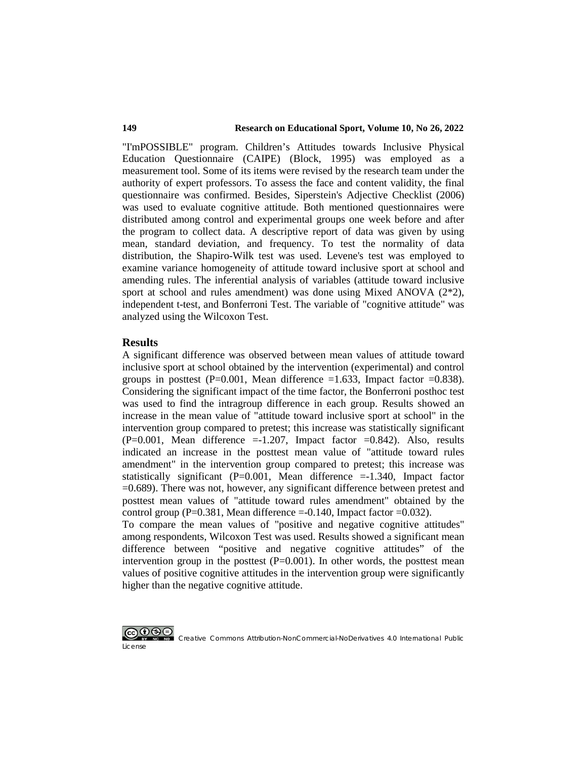#### **149 Research on Educational Sport, Volume 10, No 26, 2022**

"I'mPOSSIBLE" program. Children's Attitudes towards Inclusive Physical Education Questionnaire (CAIPE) (Block, 1995) was employed as a measurement tool. Some of its items were revised by the research team under the authority of expert professors. To assess the face and content validity, the final questionnaire was confirmed. Besides, Siperstein's Adjective Checklist (2006) was used to evaluate cognitive attitude. Both mentioned questionnaires were distributed among control and experimental groups one week before and after the program to collect data. A descriptive report of data was given by using mean, standard deviation, and frequency. To test the normality of data distribution, the Shapiro-Wilk test was used. Levene's test was employed to examine variance homogeneity of attitude toward inclusive sport at school and amending rules. The inferential analysis of variables (attitude toward inclusive sport at school and rules amendment) was done using Mixed ANOVA (2\*2), independent t-test, and Bonferroni Test. The variable of "cognitive attitude" was analyzed using the Wilcoxon Test.

#### **Results**

A significant difference was observed between mean values of attitude toward inclusive sport at school obtained by the intervention (experimental) and control groups in posttest (P=0.001, Mean difference =1.633, Impact factor =0.838). Considering the significant impact of the time factor, the Bonferroni posthoc test was used to find the intragroup difference in each group. Results showed an increase in the mean value of "attitude toward inclusive sport at school" in the intervention group compared to pretest; this increase was statistically significant  $(P=0.001,$  Mean difference  $=$ -1.207, Impact factor  $=$ 0.842). Also, results indicated an increase in the posttest mean value of "attitude toward rules amendment" in the intervention group compared to pretest; this increase was statistically significant  $(P=0.001,$  Mean difference  $=-1.340$ , Impact factor =0.689). There was not, however, any significant difference between pretest and posttest mean values of "attitude toward rules amendment" obtained by the control group (P=0.381, Mean difference =-0.140, Impact factor =0.032).

To compare the mean values of "positive and negative cognitive attitudes" among respondents, Wilcoxon Test was used. Results showed a significant mean difference between "positive and negative cognitive attitudes" of the intervention group in the posttest  $(P=0.001)$ . In other words, the posttest mean values of positive cognitive attitudes in the intervention group were significantly higher than the negative cognitive attitude.

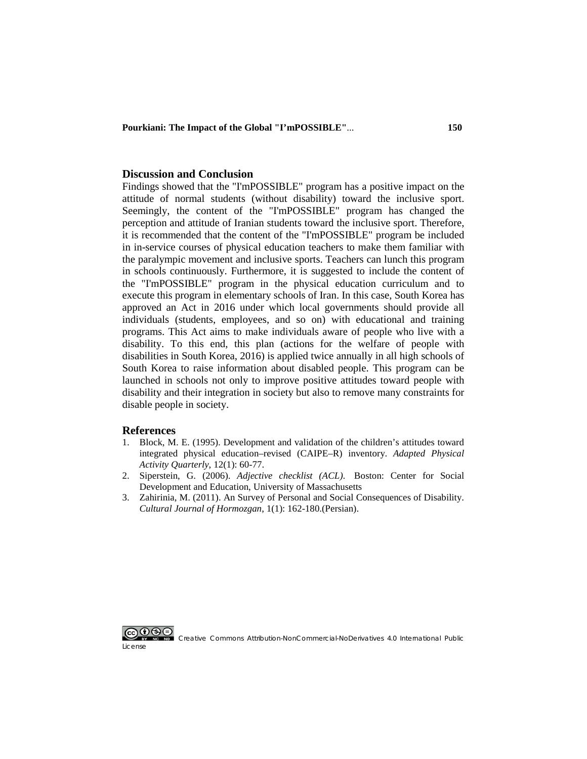**Pourkiani: The Impact of the Global "I'mPOSSIBLE"**... **150**

#### **Discussion and Conclusion**

Findings showed that the "I'mPOSSIBLE" program has a positive impact on the attitude of normal students (without disability) toward the inclusive sport. Seemingly, the content of the "I'mPOSSIBLE" program has changed the perception and attitude of Iranian students toward the inclusive sport. Therefore, it is recommended that the content of the "I'mPOSSIBLE" program be included in in-service courses of physical education teachers to make them familiar with the paralympic movement and inclusive sports. Teachers can lunch this program in schools continuously. Furthermore, it is suggested to include the content of the "I'mPOSSIBLE" program in the physical education curriculum and to execute this program in elementary schools of Iran. In this case, South Korea has approved an Act in 2016 under which local governments should provide all individuals (students, employees, and so on) with educational and training programs. This Act aims to make individuals aware of people who live with a disability. To this end, this plan (actions for the welfare of people with disabilities in South Korea, 2016) is applied twice annually in all high schools of South Korea to raise information about disabled people. This program can be launched in schools not only to improve positive attitudes toward people with disability and their integration in society but also to remove many constraints for disable people in society.

#### **References**

- 1. [Block, M. E. \(1995\). Development and validation of the children's attitudes toward](https://journals.humankinetics.com/view/journals/apaq/12/1/article-p60.xml)  [integrated physical education–revised \(CAIPE–R\) inventory.](https://journals.humankinetics.com/view/journals/apaq/12/1/article-p60.xml) *Adapted Physical [Activity Quarterly](https://journals.humankinetics.com/view/journals/apaq/12/1/article-p60.xml)*, 12(1): 60-77.
- 2. Siperstein, G. (2006). *Adjective checklist (ACL)*[. Boston: Center for Social](https://www.umb.edu/csde/instruments/acl)  [Development and Education, University of Massachusetts](https://www.umb.edu/csde/instruments/acl)
- 3. [Zahirinia, M. \(2011\). An Survey of Personal and Social Consequences of Disability.](http://rdch.ir/article-1-112-en.html)  *Cultural [Journal of Hormozgan](http://rdch.ir/article-1-112-en.html)*, 1(1): 162-180.(Persian).

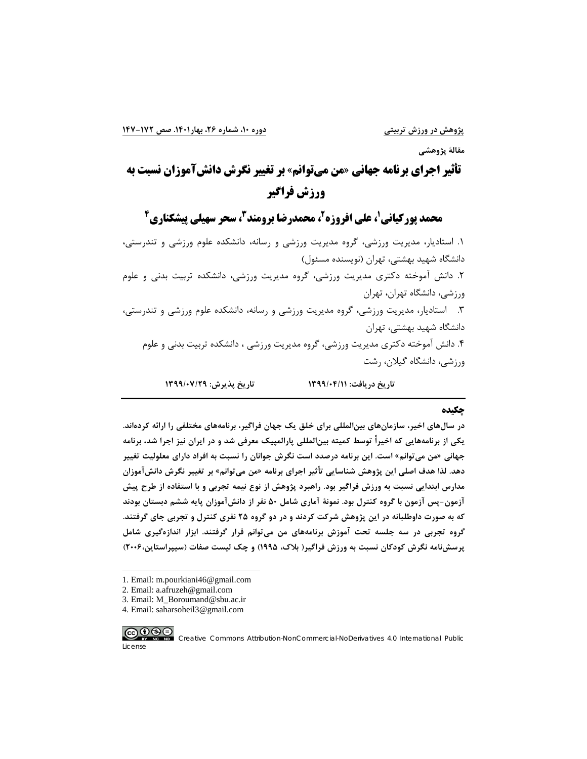**مقالۀ پژوهشی**

**تأثیر اجراي برنامه جهانی «من میتوانم» بر تغییر نگرش دانشآموزان نسبت به ورزش فراگیر**

**4 ، سحر سهیلی پیشکناري <sup>3</sup> ، محمدرضا برومند <sup>2</sup> ، علی افروزه <sup>1</sup> محمد پورکیانی**

.1 استادیار، مدیریت ورزشی، گروه مدیریت ورزشی و رسانه، دانشکده علوم ورزشی و تندرستی، دانشگاه شهید بهشتی، تهران (نویسنده مسئول) .2 دانش آموخته دکتري مدیریت ورزشی، گروه مدیریت ورزشی، دانشکده تربیت بدنی و علوم ورزشی، دانشگاه تهران، تهران .3 استادیار، مدیریت ورزشی، گروه مدیریت ورزشی و رسانه، دانشکده علوم ورزشی و تندرستی، دانشگاه شهید بهشتی، تهران .4 دانش آموخته دکتري مدیریت ورزشی، گروه مدیریت ورزشی ، دانشکده تربیت بدنی و علوم ورزشی، دانشگاه گیلان، رشت **تاریخ دریافت: 1399/04/11 تاریخ پذیرش: 1399/07/29**

#### **چکیده**

**در سالهاي اخیر، سازمانهاي بینالمللی براي خلق یک جهان فراگیر، برنامههاي مختلفی را ارائه کردهاند. یکی از برنامههایی که اخیراً توسط کمیته بینالمللی پارالمپیک معرفی شد و در ایران نیز اجرا شد، برنامه جهانی «من میتوانم» است. این برنامه درصدد است نگرش جوانان را نسبت به افراد داراي معلولیت تغییر دهد. لذا هدف اصلی این پژوهش شناسایی تأثیر اجراي برنامه «من میتوانم» بر تغییر نگرش دانشآموزان مدارس ابتدایی نسبت به ورزش فراگیر بود. راهبرد پژوهش از نوع نیمه تجربی و با استفاده از طرح پیش آزمون-پس آزمون با گروه کنترل بود. نمونۀ آماري شامل 50 نفر از دانشآموزان پایه ششم دبستان بودند که به صورت داوطلبانه در این پژوهش شرکت کردند و در دو گروه 25 نفري کنترل و تجربی جاي گرفتند. گروه تجربی در سه جلسه تحت آموزش برنامههاي من میتوانم قرار گرفتند. ابزار اندازهگیري شامل پرسشنامه نگرش کودکان نسبت به ورزش فراگیر( بلاك، 1995) و چک لیست صفات (سیپراستاین2006،)** 

- 3. Email: M\_Boroumand@sbu.ac.ir
- 4. Email: saharsoheil3@gmail.com



License

 $\overline{a}$ 

<sup>1.</sup> Email: m.pourkiani46@gmail.com

<sup>2.</sup> Email: a.afruzeh@gmail.com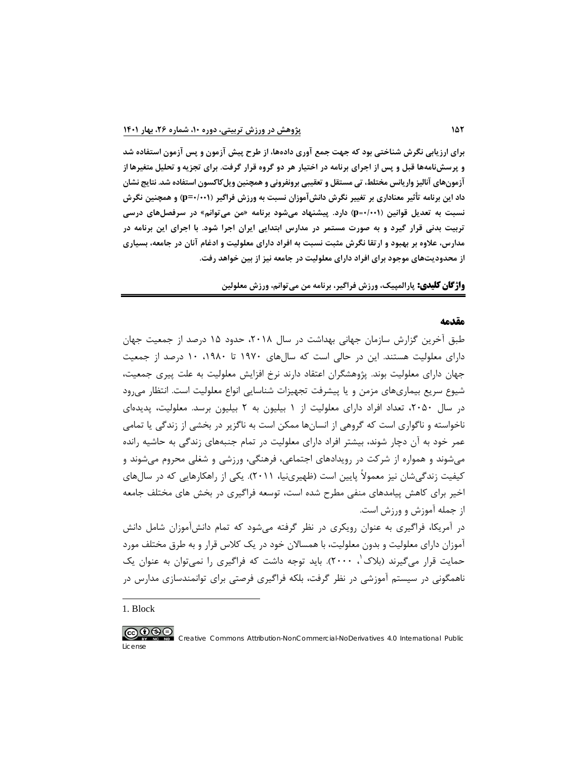**براي ارزیابی نگرش شناختی بود که جهت جمع آوري دادهها، از طرح پیش آزمون و پس آزمون استفاده شد و پرسشنامهها قبل و پس از اجراي برنامه در اختیار هر دو گروه قرار گرفت. براي تجزیه و تحلیل متغیرها از آزمونهاي آنالیز واریانس مختلط، تی مستقل و تعقیبی برونفرونی و همچنین ویلکاکسون استفاده شد. نتایج نشان داد این برنامه تأثیر معناداري بر تغییر نگرش دانشآموزان نسبت به ورزش فراگیر (0/001=p (و همچنین نگرش نسبت به تعدیل قوانین (0/001=p (دارد. پیشنهاد میشود برنامه «من میتوانم» در سرفصلهاي درسی تربیت بدنی قرار گیرد و به صورت مستمر در مدارس ابتدایی ایران اجرا شود. با اجراي این برنامه در مدارس، علاوه بر بهبود و ارتقا نگرش مثبت نسبت به افراد داراي معلولیت و ادغام آنان در جامعه، بسیاري از محدودیتهاي موجود براي افراد داراي معلولیت در جامعه نیز از بین خواهد رفت.** 

**واژگان کلیدي: پارالمپیک، ورزش فراگیر، برنامه من میتوانم، ورزش معلولین**

#### **مقدمه**

طبق آخرین گزارش سازمان جهانی بهداشت در سال ،2018 حدود 15 درصد از جمعیت جهان داراي معلولیت هستند. این در حالی است که سالهاي 1970 تا ،1980 10 درصد از جمعیت جهان داراي معلولیت بوند. پژوهشگران اعتقاد دارند نرخ افزایش معلولیت به علت پیري جمعیت، شیوع سریع بیماريهاي مزمن و یا پیشرفت تجهیزات شناسایی انواع معلولیت است. انتظار میرود در سال ،2050 تعداد افراد داراي معلولیت از 1 بیلیون به 2 بیلیون برسد. معلولیت، پدیدهاي ناخواسته و ناگواري است که گروهی از انسانها ممکن است به ناگزیر در بخشی از زندگی یا تمامی عمر خود به آن دچار شوند، بیشتر افراد داراي معلولیت در تمام جنبههاي زندگی به حاشیه رانده میشوند و همواره از شرکت در رویدادهاي اجتماعی، فرهنگی، ورزشی و شغلی محروم میشوند و کیفیت زندگیشان نیز معمولاً پایین است (ظهیرينیا، 2011). یکی از راهکارهایی که در سالهاي اخیر براي کاهش پیامدهاي منفی مطرح شده است، توسعه فراگیري در بخش هاي مختلف جامعه از جمله آموزش و ورزش است. در آمریکا، فراگیري به عنوان رویکري در نظر گرفته میشود که تمام دانشآموزان شامل دانش

آموزان داراي معلولیت و بدون معلولیت، با همسالان خود در یک کلاس قرار و به طرق مختلف مورد حمایت قرار می گیرند (بلاک ب ۲۰۰۰). باید توجه داشت که فراگیری را نمیتوان به عنوان یک ناهمگونی در سیستم آموزشی در نظر گرفت، بلکه فراگیري فرصتی براي توانمندسازي مدارس در

<span id="page-5-0"></span>[1.](#page-5-0) Block

 $\overline{a}$ 

License

#### <u>@0®0</u>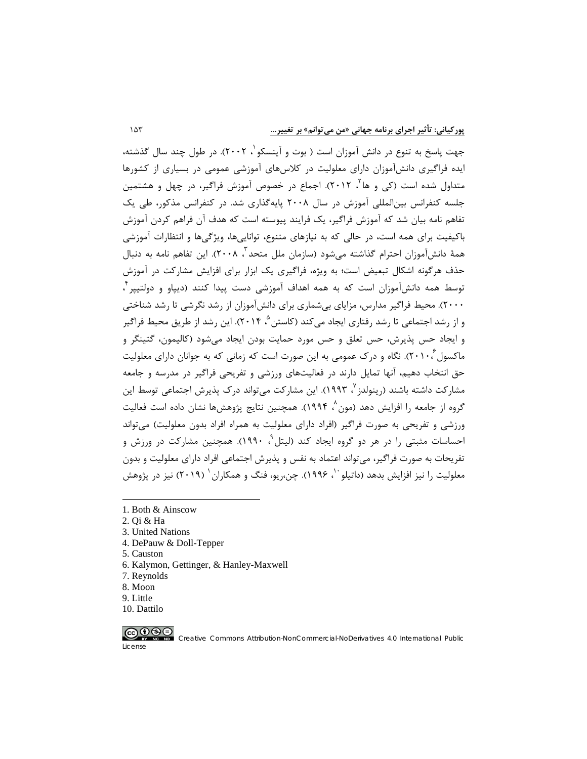جهت پاسخ به تنوع در دانش آموزان است ( بوت و آینسکو ۲۰۰۲). در طول چند سال گذشته[،](#page-6-0) ایده فراگیري دانشآموزان داراي معلولیت در کلاسهاي آموزشی عمومی در بسیاري از کشورها متداول شده است (کی و ها<sup>۲</sup>[،](#page-6-1) ۲۰۱۲). اجماع در خصوص آموزش فراگیر، در چهل و هشتمین جلسه کنفرانس بینالمللی آموزش در سال 2008 پایهگذاري شد. در کنفرانس مذکور، طی یک تفاهم نامه بیان شد که آموزش فراگیر، یک فرایند پیوسته است که هدف آن فراهم کردن آموزش باکیفیت براي همه است، در حالی که به نیازهاي متنوع، تواناییها، ویژگیها و انتظارات آموزشی همۀ دانشآموزان احترام گذاشته میشود (سازمان ملل متحد ، 2008). این تفاهم نامه به دنبال [3](#page-6-2) حذف هرگونه اشکال تبعیض است؛ به ویژه، فراگیري یک ابزار براي افزایش مشارکت در آموزش [4](#page-6-3) توسط همه دانشآموزان است که به همه اهداف آموزشی دست پیدا کنند (دیپاو و دولتیپر ، 2000). محیط فراگیر مدارس، مزایاي بیشماري براي دانشآموزان از رشد نگرشی تا رشد شناختی و از رشد اجتماعی تا رشد رفتاری ایجاد می کند (کاستن <sup>۵</sup> ۲۰۱۴). این رشد از طریق محیط فراگیر و ایجاد حس پذیرش، حس تعلق و حس مورد حمایت بودن ایجاد میشود (کالیمون، گتینگر و ماکسول ۲۰۱۰[،](#page-6-5)). نگاه و درک عمومی به این صورت است که زمانی که به جوانان دارای معلولیت حق انتخاب دهیم، آنها تمایل دارند در فعالیتهاي ورزشی و تفریحی فراگیر در مدرسه و جامعه مشارکت داشته باشند (رینولدز <sup>۷</sup>[،](#page-6-6) ۱۹۹۳). این مشارکت میتواند درک پذیرش اجتماعی توسط این [،](#page-6-7) 1994). همچنین نتایج پژوهشها نشان داده است فعالیت [8](#page-6-7) گروه از جامعه را افزایش دهد (مون ورزشی و تفریحی به صورت فراگیر (افراد داراي معلولیت به همراه افراد بدون معلولیت) میتواند احساسات مثبتی ,ا در هر دو گروه ایجاد کند (لیتل<sup>۹</sup>، ۱۹۹۰). همچنین مشارکت در ورزش و تفریحات به صورت فراگیر، میتواند اعتماد به نفس و پذیرش اجتماعی افراد داراي معلولیت و بدون معلولیت ,ا نیز افزایش بدهد (داتیلو <sup>۱٬</sup>، ۱۹۹۶). چن،ریو، فنگ و همکاران <sup>۱</sup> (۲۰۱۹) نیز در پژوهش

<span id="page-6-1"></span><span id="page-6-0"></span>2. Qi & Ha

 $\overline{a}$ 

- <span id="page-6-2"></span>3. United Nations
- <span id="page-6-3"></span>4. DePauw & Doll-Tepper
- <span id="page-6-5"></span><span id="page-6-4"></span>5. Causton
- 6. Kalymon, Gettinger, & Hanley-Maxwell
- <span id="page-6-7"></span><span id="page-6-6"></span>7. Reynolds
- 8. Moon
- <span id="page-6-8"></span>9. Little
- 10. Dattilo

<span id="page-6-9"></span>

[<sup>1.</sup>](#page-6-3) Both & Ainscow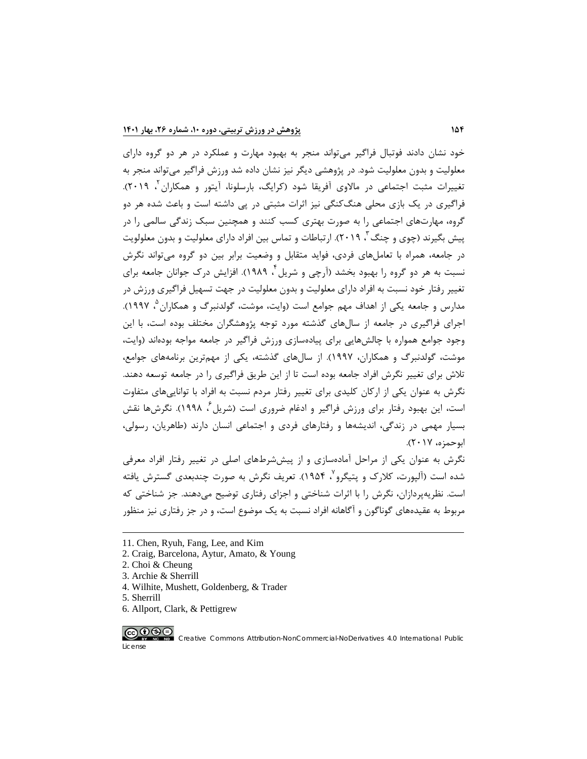خود نشان دادند فوتبال فراگیر میتواند منجر به بهبود مهارت و عملکرد در هر دو گروه داراي معلولیت و بدون معلولیت شود. در پژوهشی دیگر نیز نشان داده شد ورزش فراگیر میتواند منجر به تغییرات مثبت اجتماعی در مالاوی آفریقا شود (کرایگ[،](#page-7-0) بارسلونا، آیتور و همکاران <sup>۲</sup>، ۲۰۱۹). فراگیري در یک بازي محلی هنگکنگی نیز اثرات مثبتی در پی داشته است و باعث شده هر دو گروه، مهارتهاي اجتماعی را به صورت بهتري کسب کنند و همچنین سبک زندگی سالمی را در ییش بگیرند (چوی و چنگ <sup>۳</sup>، ۲۰۱۹). ارتباطات و تماس بین افراد دارای معلولیت و بدون معلولویت در جامعه، همراه با تعاملهاي فردي، فواید متقابل و وضعیت برابر بین دو گروه میتواند نگرش نسبت به هر دو گروه را بهبود بخشد (آرچی و شریل ٔ ۱۹۸۹). افزایش درک جوانان جامعه برای تغییر رفتار خود نسبت به افراد داراي معلولیت و بدون معلولیت در جهت تسهیل فراگیري ورزش در [،](#page-7-3) 1997). [5](#page-7-3) مدارس و جامعه یکی از اهداف مهم جوامع است (وایت، موشت، گولدنبرگ و همکاران اجراي فراگیري در جامعه از سالهاي گذشته مورد توجه پژوهشگران مختلف بوده است، با این وجود جوامع همواره با چالشهایی براي پیادهسازي ورزش فراگیر در جامعه مواجه بودهاند (وایت، موشت، گولدنبرگ و همکاران، 1997). از سالهاي گذشته، یکی از مهمترین برنامههاي جوامع، تلاش براي تغییر نگرش افراد جامعه بوده است تا از این طریق فراگیري را در جامعه توسعه دهند. نگرش به عنوان یکی از ارکان کلیدي براي تغییر رفتار مردم نسبت به افراد با تواناییهاي متفاوت است، این بهبود رفتار برای ورزش فراگیر و ادغام ضروری است (شریل ٔ، ۱۹۹۸). نگرش۵۱ نقش بسیار مهمی در زندگی، اندیشهها و رفتارهاي فردي و اجتماعی انسان دارند (طاهریان، رسولی، ابوحمزه، 2017).

نگرش به عنوان یکی از مراحل آمادهسازي و از پیش[شرط](#page-7-4)هاي اصلی در تغییر رفتار افراد معرفی شده است (آلپورت، کلارک و پتیگرو<sup>۷</sup>، ۱۹۵۴). تعریف نگرش به صورت چندبعدي گسترش یافته است. نظریهپردازان، نگرش را با اثرات شناختی و اجزاي رفتاري توضیح میدهند. جز شناختی که مربوط به عقیدههاي گوناگون و آگاهانه افراد نسبت به یک موضوع است، و در جز رفتاري نیز منظور

 $\overline{a}$ 

<span id="page-7-5"></span>6. Allport, Clark, & Pettigrew



[<sup>11</sup>](#page-7-5). Chen, Ryuh, Fang, Lee, and Kim

<span id="page-7-0"></span><sup>2.</sup> Craig, Barcelona, Aytur, Amato, & Young

<span id="page-7-2"></span><span id="page-7-1"></span><sup>2.</sup> Choi & Cheung

<sup>3.</sup> Archie & Sherrill

<sup>4.</sup> Wilhite, Mushett, Goldenberg, & Trader

<span id="page-7-4"></span><span id="page-7-3"></span><sup>5.</sup> Sherrill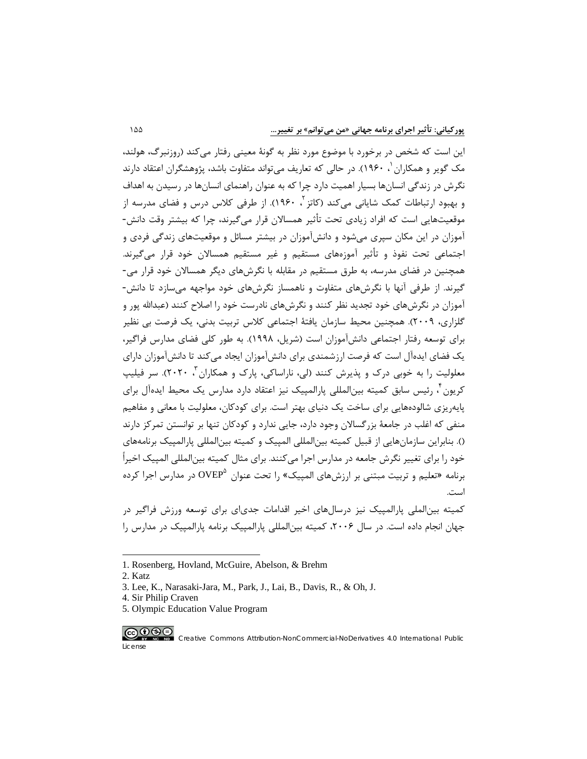این است که شخص در برخورد با موضوع مورد نظر به گونۀ معینی رفتار میکند (روزنبرگ، هولند، مک گویر و همکاران <sup>۱</sup>، ۱۹۶۰). در حالی که تعاریف می¤واند متفاوت باشد، پژوهشگران اعتقاد دارند نگرش در زندگی انسانها بسیار اهمیت دارد چرا که به عنوان راهنماي انسانها در رسیدن به اهداف و بهبود ارتباطات کمک شایانی می *ک*ند (کاتز <sup>۲</sup>[،](#page-8-1) ۱۹۶۰). از طرفی کلاس درس و فضای مدرسه از موقعیتهایی است که افراد زیادي تحت تأثیر همسالان قرار میگیرند، چرا که بیشتر وقت دانش- آموزان در این مکان سپري میشود و دانشآموزان در بیشتر مسائل و موقعیتهاي زندگی فردي و اجتماعی تحت نفوذ و تأثیر آموزههاي مستقیم و غیر مستقیم همسالان خود قرار میگیرند. همچنین در فضاي مدرسه، به طرق مستقیم در مقابله با نگرشهاي دیگر همسالان خود قرار می- گیرند. از طرفی آنها با نگرشهاي متفاوت و ناهمساز نگرشهاي خود مواجهه میسازد تا دانش- آموزان در نگرشهاي خود تجدید نظر کنند و نگرشهاي نادرست خود را اصلاح کنند (عبداالله پور و گلزاري، 2009). همچنین محیط سازمان یافتۀ اجتماعی کلاس تربیت بدنی، یک فرصت بی نظیر براي توسعه رفتار اجتماعی دانشآموزان است (شریل، 1998). به طور کلی فضاي مدارس فراگیر، یک فضاي ایدهآل است که فرصت ارزشمندي براي دانشآموزان ایجاد میکند تا دانشآموزان داراي معلولیت را به خوبی درک و پذیرش کنند (لی، ناراساکی، پارک و همکاران ۲۰ ۲۰۲۰). سر فیلیپ کریون ً[،](#page-8-3) رئیس سابق کمیته بین|لمللی پارالمپیک نیز اعتقاد دارد مدارس یک محیط ایدهآل برای پایهریزي شالودههایی براي ساخت یک دنیاي بهتر است. براي کودکان، معلولیت با معانی و مفاهیم منفی که اغلب در جامعۀ بزرگسالان وجود دارد، جایی ندارد و کودکان تنها بر توانستن تمرکز دارند (). بنابراین سازمانهایی از قبیل کمیته بینالمللی المپیک و کمیته بینالمللی پارالمپیک برنامههاي خود را براي تغییر نگرش جامعه در مدارس اجرا میکنند. براي مثال کمیته بینالمللی المپیک اخیراً در مدارس اجرا کرده [5](#page-8-4) برنامه «تعلیم و تربیت مبتنی بر ارزشهای المپیک» را تحت عنوان  $\mathrm{OVEP}^2$  در مدارس اجرا کرده است.

کمیته بینالملی پارالمپیک نیز درسالهاي اخیر اقدامات جدياي براي توسعه ورزش فراگیر در جهان انجام داده است. در سال ۲۰۰۶، کمیته بینالمللی پارالمپیک برنامه پارالمپیک در مدارس را

<span id="page-8-1"></span>2. Katz

 $\overline{a}$ 

License

<span id="page-8-4"></span>5. Olympic Education Value Program

<span id="page-8-0"></span><sup>1.</sup> Rosenberg, Hovland, McGuire, Abelson, & Brehm

<sup>3.</sup> Lee, K., Narasaki-Jara, M., Park, J., Lai, B., Davis, R., & Oh, J.

<span id="page-8-3"></span><span id="page-8-2"></span><sup>4.</sup> Sir Philip Craven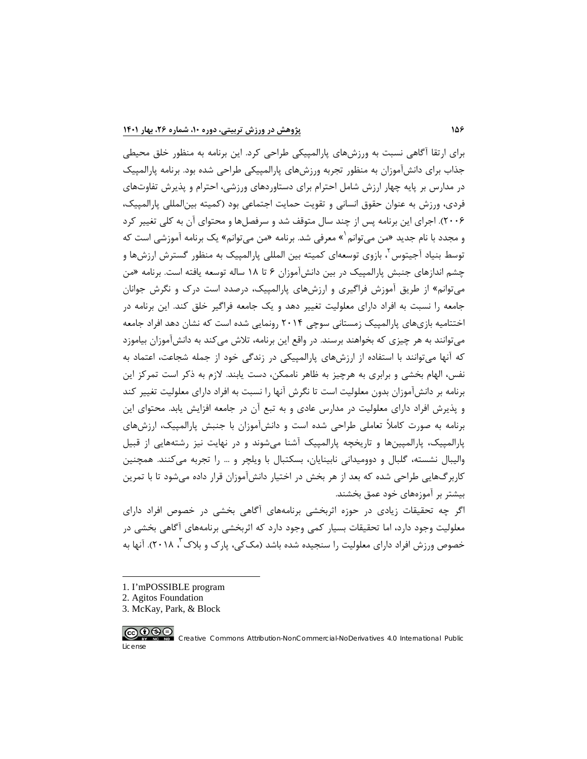براي ارتقا آگاهی نسبت به ورزشهاي پارالمپیکی طراحی کرد. این برنامه به منظور خلق محیطی جذاب براي دانشآموزان به منظور تجربه ورزشهاي پارالمپیکی طراحی شده بود. برنامه پارالمپیک در مدارس بر پایه چهار ارزش شامل احترام براي دستاوردهاي ورزشی، احترام و پذیرش تفاوتهاي فردي، ورزش به عنوان حقوق انسانی و تقویت حمایت اجتماعی بود (کمیته بینالمللی پارالمپیک، 2006). اجراي این برنامه پس از چند سال متوقف شد و سرفصلها و محتواي آن به کلی تغییر کرد و مجدد با نام جدید «من می توانم<sup>(</sup>[»](#page-9-0) معرفی شد. برنامه «من می توانم» یک برنامه آموزشی است که توسط بنیاد آجیتوس<sup>۲</sup>، بازوی توسعهای کمیته بین المللی پارالمپیک به منظور گسترش ارزشها و چشم اندازهاي جنبش پارالمپیک در بین دانشآموزان 6 تا 18 ساله توسعه یافته است. برنامه «من میتوانم» از طریق آموزش فراگیري و ارزشهاي پارالمپیک، درصدد است درك و نگرش جوانان جامعه را نسبت به افراد داراي معلولیت تغییر دهد و یک جامعه فراگیر خلق کند. این برنامه در اختتامیه بازيهاي پارالمپیک زمستانی سوچی 2014 رونمایی شده است که نشان دهد افراد جامعه میتوانند به هر چیزي که بخواهند برسند. در واقع این برنامه، تلاش میکند به دانشآموزان بیاموزد که آنها میتوانند با استفاده از ارزشهاي پارالمپیکی در زندگی خود از جمله شجاعت، اعتماد به نفس، الهام بخشی و برابري به هرچیز به ظاهر ناممکن، دست یابند. لازم به ذکر است تمرکز این برنامه بر دانشآموزان بدون معلولیت است تا نگرش آنها را نسبت به افراد داراي معلولیت تغییر کند و پذیرش افراد داراي معلولیت در مدارس عادي و به تبع آن در جامعه افزایش یابد. محتواي این برنامه به صورت کاملاً تعاملی طراحی شده است و دانشآموزان با جنبش پارالمپیک، ارزشهاي پارالمپیک، پارالمپینها و تاریخچه پارالمپیک آشنا میشوند و در نهایت نیز رشتههایی از قبیل والیبال نشسته، گلبال و دوومیدانی نابینایان، بسکتبال با ویلچر و ... را تجربه میکنند. همچنین کاربرگهایی طراحی شده که بعد از هر بخش در اختیار دانشآموزان قرار داده میشود تا با تمرین بیشتر بر آموزههاي خود عمق بخشند.

اگر چه تحقیقات زیادي در حوزه اثربخشی برنامههاي آگاهی بخشی در خصوص افراد داراي معلولیت وجود دارد، اما تحقیقات بسیار کمی وجود دارد که اثربخشی برنامههاي آگاهی بخشی در خصوص ورزش افراد داراي معلولیت را سنجیده شده باشد (مک $\mathcal{Z}_{>0}$ ، پارک و بلاک "، ۲۰۱۸). آنها به

- [1.](#page-9-2) I'mPOSSIBLE program
- <span id="page-9-1"></span><span id="page-9-0"></span>2. Agitos Foundation
- <span id="page-9-2"></span>3. McKay, Park, & Block



License

 $\overline{a}$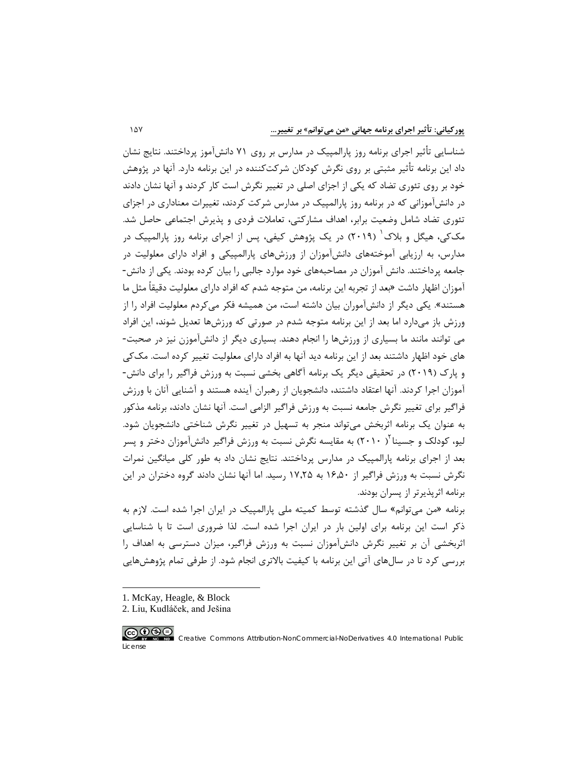شناسایی تأثیر اجراي برنامه روز پارالمپیک در مدارس بر روي 71 دانشآموز پرداختند. نتایج نشان داد این برنامه تأثیر مثبتی بر روي نگرش کودکان شرکتکننده در این برنامه دارد. آنها در پژوهش خود بر روي تئوري تضاد که یکی از اجزاي اصلی در تغییر نگرش است کار کردند و آنها نشان دادند در دانشآموزانی که در برنامه روز پارالمپیک در مدارس شرکت کردند، تغییرات معناداري در اجزاي تئوري تضاد شامل وضعیت برابر، اهداف مشارکتی، تعاملات فردي و پذیرش اجتماعی حاصل شد. مک $\mathcal{Z}_2$ ، هیگل و بلاک  $(7 \cdot 19)$  $(7 \cdot 19)$  $(7 \cdot 19)$  در یک پژوهش کیفی، پس از اجرای برنامه روز پارالمپیک در مدارس، به ارزیابی آموختههاي دانشآموزان از ورزشهاي پارالمپیکی و افراد داراي معلولیت در جامعه پرداختند. دانش آموزان در مصاحبههاي خود موارد جالبی را بیان کرده بودند. یکی از دانش- آموزان اظهار داشت «بعد از تجربه این برنامه، من متوجه شدم که افراد داراي معلولیت دقیقاً مثل ما هستند». یکی دیگر از دانشآموران بیان داشته است، من همیشه فکر میکردم معلولیت افراد را از ورزش باز میدارد اما بعد از این برنامه متوجه شدم در صورتی که ورزشها تعدیل شوند، این افراد می توانند مانند ما بسیاري از ورزشها را انجام دهند. بسیاري دیگر از دانشآموزن نیز در صحبت- هاي خود اظهار داشتند بعد از این برنامه دید آنها به افراد داراي معلولیت تغییر کرده است. مککی و پارك (2019) در تحقیقی دیگر یک برنامه آگاهی بخشی نسبت به ورزش فراگیر را براي دانش- آموزان اجرا کردند. آنها اعتقاد داشتند، دانشجویان از رهبران آینده هستند و آشنایی آنان با ورزش فراگیر براي تغییر نگرش جامعه نسبت به ورزش فراگیر الزامی است. آنها نشان دادند، برنامه مذکور به عنوان یک برنامه اثربخش میتواند منجر به تسهیل در تغییر نگرش شناختی دانشجویان شود. لیو، کودلک و جسینا <sup>۲</sup>( ۲۰۱۰) به مقایسه نگرش نسبت به ورزش فراگیر دانشآموزان دختر و پسر بعد از اجراي برنامه پارالمپیک در مدارس پرداختند. نتایج نشان داد به طور کلی میانگین نمرات نگرش نسبت به ورزش فراگیر از 16,50 به 17,25 رسید. اما آنها نشان دادند گروه دختران در این برنامه اثرپذیرتر از پسران بودند.

برنامه «من میتوانم» سال گذشته توسط کمیته ملی پارالمپیک در ایران اجرا شده است. لازم به ذکر است این برنامه براي اولین بار در ایران اجرا شده است. لذا ضروري است تا با شناسایی اثربخشی آن بر تغییر نگرش دانشآموزان نسبت به ورزش فراگیر، میزان دسترسی به اهداف را بررسی کرد تا در سالهاي آتی این برنامه با کیفیت بالاتري انجام شود. از طرفی تمام پژوهشهایی

- 1. McKay, Heagle, & Block
- <span id="page-10-1"></span><span id="page-10-0"></span>2. Liu, Kudláček, and Ješina



 $\overline{a}$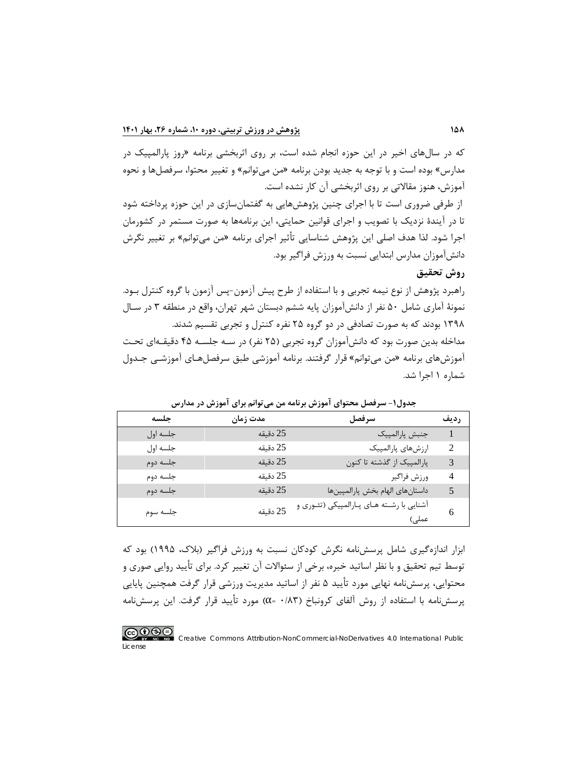که در سالهاي اخیر در این حوزه انجام شده است، بر روي اثربخشی برنامه «روز پارالمپیک در مدارس» بوده است و با توجه به جدید بودن برنامه «من میتوانم» و تغییر محتوا، سرفصلها و نحوه آموزش، هنوز مقالاتی بر روي اثربخشی آن کار نشده است.

از طرفی ضروري است تا با اجراي چنین پژوهشهایی به گفتمانسازي در این حوزه پرداخته شود تا در آیندة نزدیک با تصویب و اجراي قوانین حمایتی، این برنامهها به صورت مستمر در کشورمان اجرا شود. لذا هدف اصلی این پژوهش شناسایی تأثیر اجراي برنامه «من میتوانم» بر تغییر نگرش دانشآموزان مدارس ابتدایی نسبت به ورزش فراگیر بود.

**روش تحقیق**

راهبرد پژوهش از نوع نیمه تجربی و با استفاده از طرح پیش آزمون-پس آزمون با گروه کنترل بـود. نمونۀ آماري شامل 50 نفر از دانشآموزان پایه ششم دبستان شهر تهران، واقع در منطقه 3 در سـال 1398 بودند که به صورت تصادفی در دو گروه 25 نفره کنترل و تجربی تقسیم شدند. مداخله بدین صورت بود که دانشآموزان گروه تجربی (25 نفر) در سـه جلسـه 45 دقیقـه اي تحـت آموزشهاي برنامه «من میتوانم» قرار گرفتند. برنامه آموزشی طبق سرفصلهـاي آموزشـی جـدول شماره 1 اجرا شد.

| حلسه     | مدت زمان | سرفصل                                               | رديف           |
|----------|----------|-----------------------------------------------------|----------------|
| جلسه اول | 25 دقيقه | جنبش پارالمپيک                                      |                |
| جلسه اول | 25 دقيقه | ارزشهاى پارالمپيک                                   | $\mathcal{D}$  |
| جلسه دوم | 25 دقيقه | پارالمپیک از گذشته تا کنون                          | 3              |
| جلسه دوم | 25 دقيقه | ورزش فراگير                                         | $\overline{4}$ |
| جلسه دوم | 25 دقيقه | داستانهای الهام بخش پارالمپینها                     | 5              |
| جلسه سوم | 25 دقيقه | آشنایی با رشـته هـای پـارالمپیکی (تئـوری و<br>عملی) | 6              |

**جدول-1 سرفصل محتواي آموزش برنامه من میتوانم براي آموزش در مدارس**

ابزار اندازهگیري شامل پرسشنامه نگرش کودکان نسبت به ورزش فراگیر (بلاك، 1995) بود که توسط تیم تحقیق و با نظر اساتید خبره، برخی از سئوالات آن تغییر کرد. براي تأیید روایی صوري و محتوایی، پرسشنامه نهایی مورد تأیید 5 نفر از اساتید مدیریت ورزشی قرار گرفت همچنین پایایی پرسشنامه با استفاده از روش آلفاي کرونباخ (0/83 =α (مورد تأیید قرار گرفت. این پرسشنامه

#### <u>@0®@</u> Creative Commons Attribution-NonCommercial-NoDerivatives 4.0 International Public License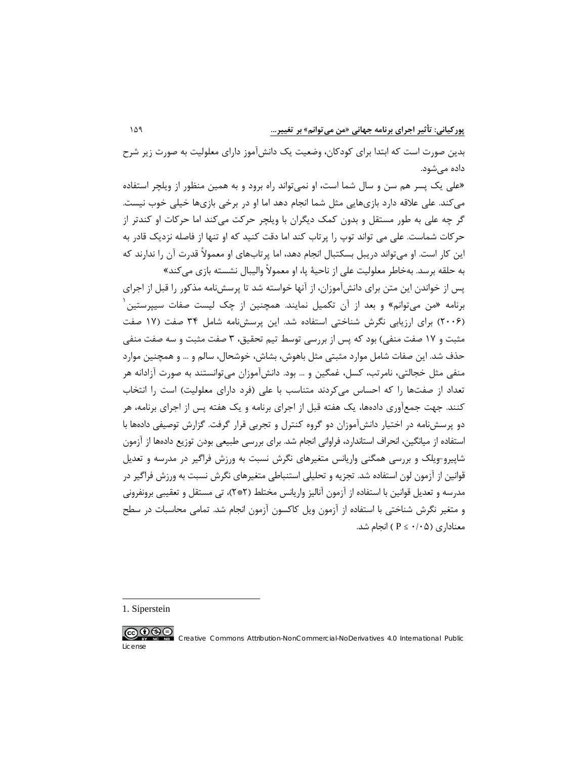بدین صورت است که ابتدا براي کودکان، وضعیت یک دانشآموز داراي معلولیت به صورت زیر شرح داده میشود.

«علی یک پسر هم سن و سال شما است، او نمیتواند راه برود و به همین منظور از ویلچر استفاده میکند. علی علاقه دارد بازيهایی مثل شما انجام دهد اما او در برخی بازيها خیلی خوب نیست. گر چه علی به طور مستقل و بدون کمک دیگران با ویلچر حرکت میکند اما حرکات او کندتر از حرکات شماست. علی می تواند توپ را پرتاب کند اما دقت کنید که او تنها از فاصله نزدیک قادر به این کار است. او میتواند دریبل بسکتبال انجام دهد، اما پرتابهاي او معمولاً قدرت آن را ندارند که به حلقه برسد. بهخاطر معلولیت علی از ناحیۀ پا، او معمولاً والیبال نشسته بازي میکند»

پس از خواندن این متن براي دانشآموزان، از آنها خواسته شد تا پرسشنامه مذکور را قبل از اجراي [1](#page-12-0) برنامه «من میتوانم» و بعد از آن تکمیل نمایند. همچنین از چک لیست صفات سیپرستین (2006) براي ارزیابی نگرش شناختی استفاده شد. این پرسشنامه شامل 34 صفت (17 صفت مثبت و 17 صفت منفی) بود که پس از بررسی توسط تیم تحقیق، 3 صفت مثبت و سه صفت منفی حذف شد. این صفات شامل موارد مثبتی مثل باهوش، بشاش، خوشحال، سالم و ... و همچنین موارد منفی مثل خجالتی، نامرتب، کسل، غمگین و … بود. دانشآموزان می توانستند به صورت آزادانه هر تعداد از صفتها را که احساس میکردند متناسب با علی (فرد داراي معلولیت) است را انتخاب کنند. جهت جمعآوري دادهها، یک هفته قبل از اجراي برنامه و یک هفته پس از اجراي برنامه، هر دو پرسشنامه در اختیار دانشآموزان دو گروه کنترل و تجربی قرار گرفت. گزارش توصیفی دادهها با استفاده از میانگین، انحراف استاندارد، فراوانی انجام شد. براي بررسی طبیعی بودن توزیع دادهها از آزمون شاپیرو-ویلک و بررسی همگنی واریانس متغیرهاي نگرش نسبت به ورزش فراگیر در مدرسه و تعدیل قوانین از آزمون لون استفاده شد. تجزیه و تحلیلی استنباطی متغیرهاي نگرش نسبت به ورزش فراگیر در مدرسه و تعدیل قوانین با استفاده از آزمون آنالیز واریانس مختلط (2\*2)، تی مستقل و تعقیبی برونفرونی و متغیر نگرش شناختی با استفاده از آزمون ویل کاکسون آزمون انجام شد. تمامی محاسبات در سطح معناداري ( $\mathsf{P} \leq \cdot / \cdot \mathsf{Q}$ ) انجام شد.

<span id="page-12-0"></span>1. Siperstein

 $\overline{a}$ 

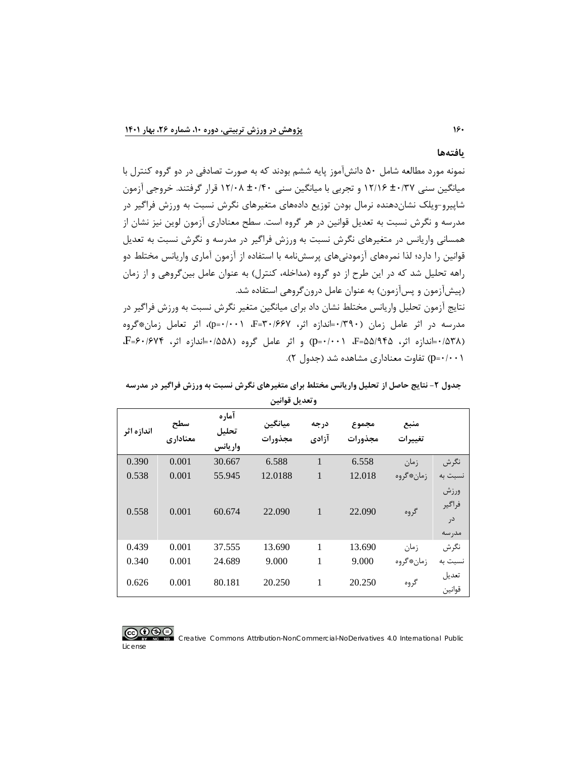#### **یافتهها**

نمونه مورد مطالعه شامل 50 دانشآموز پایه ششم بودند که به صورت تصادفی در دو گروه کنترل با میانگین سنی ±0/37 12/16 و تجربی با میانگین سنی ±0/40 12/08 قرار گرفتند. خروجی آزمون شاپیرو-ویلک نشاندهنده نرمال بودن توزیع دادههاي متغیرهاي نگرش نسبت به ورزش فراگیر در مدرسه و نگرش نسبت به تعدیل قوانین در هر گروه است. سطح معناداري آزمون لوین نیز نشان از همسانی واریانس در متغیرهاي نگرش نسبت به ورزش فراگیر در مدرسه و نگرش نسبت به تعدیل قوانین را دارد؛ لذا نمرههاي آزمودنیهاي پرسشنامه با استفاده از آزمون آماري واریانس مختلط دو راهه تحلیل شد که در این طرح از دو گروه (مداخله، کنترل) به عنوان عامل بینگروهی و از زمان (پیشآزمون و پسآزمون) به عنوان عامل درونگروهی استفاده شد. نتایج آزمون تحلیل واریانس مختلط نشان داد براي میانگین متغیر نگرش نسبت به ورزش فراگیر در مدرسه در اثر عامل زمان (0/390=اندازه اثر، 30/667=F، 0/001=p(، اثر تعامل زمان\*گروه

(0/538=اندازه اثر، 55/945=F، 0/001=p (و اثر عامل گروه (0/558=اندازه اثر، 60/674=F، 0/001=p (تفاوت معناداري مشاهده شد (جدول 2).

| وتعدين تواتين |                 |                           |                    |               |                  |                 |                                |  |
|---------------|-----------------|---------------------------|--------------------|---------------|------------------|-----------------|--------------------------------|--|
| اندازه اثر    | سطح<br>معناداری | آماره<br>تحليل<br>واريانس | ميانگين<br>مجذورات | درجه<br>آزادي | مجموع<br>مجذورات | منبع<br>تغييرات |                                |  |
| 0.390         | 0.001           | 30.667                    | 6.588              | $\mathbf{1}$  | 6.558            | زمان            | نگرش                           |  |
| 0.538         | 0.001           | 55.945                    | 12.0188            | 1             | 12.018           | زمان*گروه       | نسبت به                        |  |
| 0.558         | 0.001           | 60.674                    | 22.090             | $\mathbf{1}$  | 22.090           | گروه            | ورزش<br>فراگير<br>در<br>مدر سه |  |
| 0.439         | 0.001           | 37.555                    | 13.690             | 1             | 13.690           | زمان            | نگرش                           |  |
| 0.340         | 0.001           | 24.689                    | 9.000              | 1             | 9.000            | زمان*گروه       | نسبت به                        |  |
| 0.626         | 0.001           | 80.181                    | 20.250             | 1             | 20.250           | گروه            | تعديل<br>قوانين                |  |

جدول ۲- نتایج حاصل از تحلیل واریانس مختلط برای متغیرهای نگرش نسبت به ورزش فراگیر در مدرسه **وتعدیل قوانین**

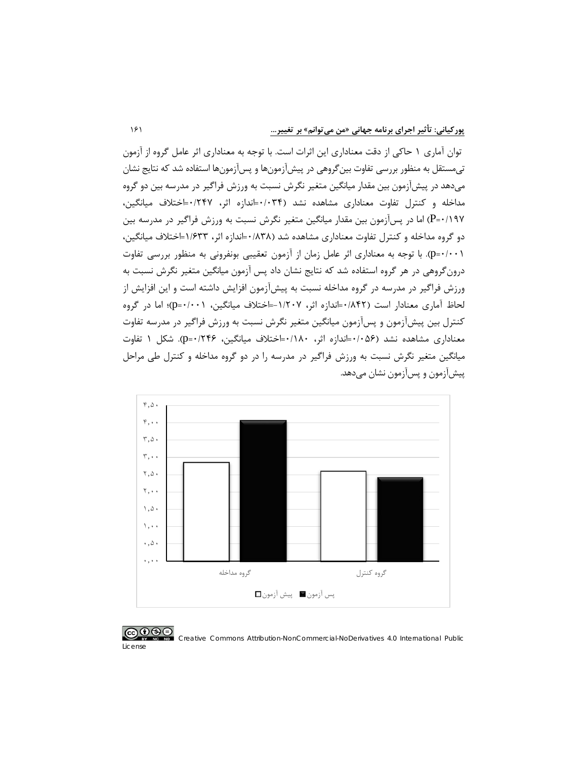توان آماري 1 حاکی از دقت معناداري این اثرات است. با توجه به معناداري اثر عامل گروه از آزمون تیمستقل به منظور بررسی تفاوت بینگروهی در پیشآزمونها و پسآزمونها استفاده شد که نتایج نشان میدهد در پیشآزمون بین مقدار میانگین متغیر نگرش نسبت به ورزش فراگیر در مدرسه بین دو گروه مداخله و کنترل تفاوت معناداري مشاهده نشد (0/034=اندازه اثر، 0/247=اختلاف میانگین، 0/197=P (اما در پسآزمون بین مقدار میانگین متغیر نگرش نسبت به ورزش فراگیر در مدرسه بین دو گروه مداخله و کنترل تفاوت معناداري مشاهده شد (0/838=اندازه اثر، 1/633=اختلاف میانگین، 0/001=p(. با توجه به معناداري اثر عامل زمان از آزمون تعقیبی بونفرونی به منظور بررسی تفاوت درونگروهی در هر گروه استفاده شد که نتایج نشان داد پس آزمون میانگین متغیر نگرش نسبت به ورزش فراگیر در مدرسه در گروه مداخله نسبت به پیشآزمون افزایش داشته است و این افزایش از لحاظ آماري معنادار است (0/842=اندازه اثر، -1/207=اختلاف میانگین، 0/001=p(؛ اما در گروه کنترل بین پیشآزمون و پسآزمون میانگین متغیر نگرش نسبت به ورزش فراگیر در مدرسه تفاوت معناداري مشاهده نشد (0/056=اندازه اثر، 0/180=اختلاف میانگین، 0/246=p(. شکل 1 تفاوت میانگین متغیر نگرش نسبت به ورزش فراگیر در مدرسه را در دو گروه مداخله و کنترل طی مراحل پیشآزمون و پسآزمون نشان میدهد.



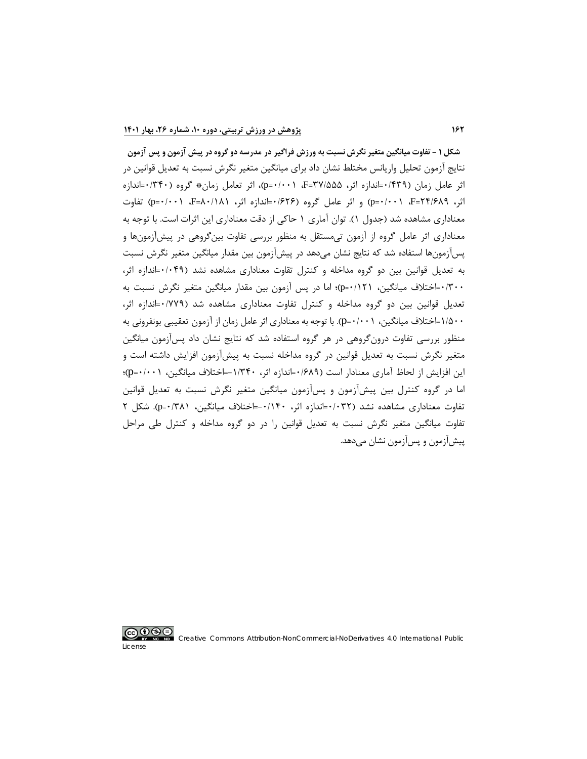**شکل 1 - تفاوت میانگین متغیر نگرش نسبت به ورزش فراگیر در مدرسه دو گروه در پیش آزمون و پس آزمون** نتایج آزمون تحلیل واریانس مختلط نشان داد براي میانگین متغیر نگرش نسبت به تعدیل قوانین در اثر عامل زمان (0/439=اندازه اثر، 37/555=F، 0/001=p(، اثر تعامل زمان\* گروه (0/340=اندازه اثر، 24/689=F، 0/001=p (و اثر عامل گروه (0/626=اندازه اثر، 80/181=F، 0/001=p (تفاوت معناداري مشاهده شد (جدول 1). توان آماري 1 حاکی از دقت معناداري این اثرات است. با توجه به معناداري اثر عامل گروه از آزمون تیمستقل به منظور بررسی تفاوت بینگروهی در پیشآزمونها و پسآزمونها استفاده شد که نتایج نشان میدهد در پیشآزمون بین مقدار میانگین متغیر نگرش نسبت به تعدیل قوانین بین دو گروه مداخله و کنترل تقاوت معناداري مشاهده نشد (0/049=اندازه اثر، 0/300=اختلاف میانگین، 0/121=p(؛ اما در پس آزمون بین مقدار میانگین متغیر نگرش نسبت به تعدیل قوانین بین دو گروه مداخله و کنترل تفاوت معناداري مشاهده شد (0/779=اندازه اثر، 1/500=اختلاف میانگین، 0/001=p(. با توجه به معناداري اثر عامل زمان از آزمون تعقیبی بونفرونی به منظور بررسی تفاوت درونگروهی در هر گروه استفاده شد که نتایج نشان داد پسآزمون میانگین متغیر نگرش نسبت به تعدیل قوانین در گروه مداخله نسبت به پیشآزمون افزایش داشته است و این افزایش از لحاظ آماري معنادار است (0/689=اندازه اثر، -1/340=اختلاف میانگین، 0/001=p(؛ اما در گروه کنترل بین پیشآزمون و پسآزمون میانگین متغیر نگرش نسبت به تعدیل قوانین تفاوت معناداري مشاهده نشد (0/032=اندازه اثر، -0/140=اختلاف میانگین، 0/381=p(. شکل 2 تفاوت میانگین متغیر نگرش نسبت به تعدیل قوانین را در دو گروه مداخله و کنترل طی مراحل پیشآزمون و پسآزمون نشان میدهد.

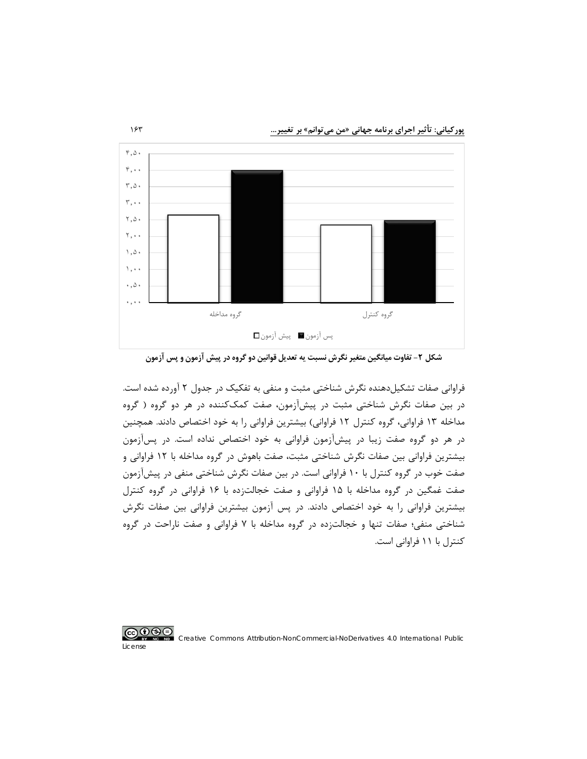**پورکیانی: تأثیر اجراي برنامه جهانی «من میتوانم» بر تغییر...** 163



**شکل -2 تفاوت میانگین متغیر نگرش نسبت یه تعدیل قوانین دو گروه در پیش آزمون و پس آزمون**

فراوانی صفات تشکیلدهنده نگرش شناختی مثبت و منفی به تفکیک در جدول 2 آورده شده است. در بین صفات نگرش شناختی مثبت در پیشآزمون، صفت کمککننده در هر دو گروه ( گروه مداخله 13 فراوانی، گروه کنترل 12 فراوانی) بیشترین فراوانی را به خود اختصاص دادند. همچنین در هر دو گروه صفت زیبا در پیشآزمون فراوانی به خود اختصاص نداده است. در پسآزمون بیشترین فراوانی بین صفات نگرش شناختی مثبت، صفت باهوش در گروه مداخله با 12 فراوانی و صفت خوب در گروه کنترل با 10 فراوانی است. در بین صفات نگرش شناختی منفی در پیشآزمون صفت غمگین در گروه مداخله با 15 فراوانی و صفت خجالتزده با 16 فراوانی در گروه کنترل بیشترین فراوانی را به خود اختصاص دادند. در پس آزمون بیشترین فراوانی بین صفات نگرش شناختی منفی؛ صفات تنها و خجالتزده در گروه مداخله با 7 فراوانی و صفت ناراحت در گروه کنترل با 11 فراوانی است.

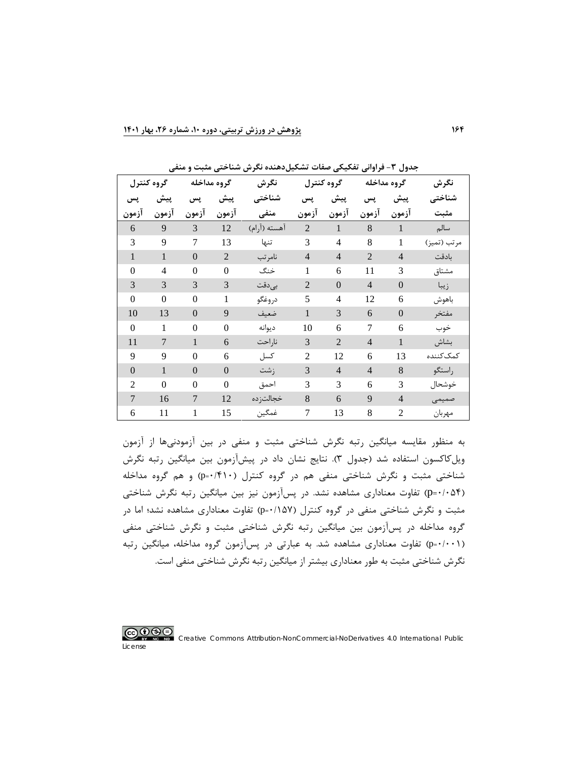|                  | گروه کنترل     | گروه مداخله    |                | نگرش         |                | گروه کنترل     |                | گروه مداخله    | نگرش        |
|------------------|----------------|----------------|----------------|--------------|----------------|----------------|----------------|----------------|-------------|
| پس               | پیش            | پس             | پیش            | شناختى       | پس             | پیش            | پس             | پیش            | شناختى      |
| آزمون            | آزمون          | آزمون          | آزمون          | منفی         | آزمون          | آزمون          | آزمون          | آزمون          | مثبت        |
| 6                | 9              | $\mathfrak{Z}$ | 12             | آهسته (آرام) | $\overline{2}$ | $\mathbf{T}$   | $8\,$          | $\mathbf{1}$   | سالم        |
| 3                | 9              | 7              | 13             | تنها         | 3              | $\overline{4}$ | 8              | 1              | مرتب (تميز) |
| $\mathbf{1}$     | $\mathbf{1}$   | $\overline{0}$ | $\overline{2}$ | نامرتب       | $\overline{4}$ | $\overline{4}$ | $\mathbf{2}$   | $\overline{4}$ | بادقت       |
| $\boldsymbol{0}$ | 4              | $\overline{0}$ | $\overline{0}$ | خنگ          | 1              | 6              | 11             | 3              | مشتاق       |
| 3                | 3              | 3              | 3              | بىدقت        | $\overline{2}$ | $\Omega$       | $\overline{4}$ | $\overline{0}$ | زيبا        |
| $\overline{0}$   | $\theta$       | $\theta$       | 1              | دروغگو       | 5              | $\overline{4}$ | 12             | 6              | باهوش       |
| 10               | 13             | $\overline{0}$ | 9              | ضعيف         | $\mathbf{1}$   | 3              | 6              | $\theta$       | مفتخر       |
| $\boldsymbol{0}$ | $\mathbf{1}$   | $\overline{0}$ | $\mathbf{0}$   | ديوانه       | 10             | 6              | 7              | 6              | خوب         |
| 11               | $\overline{7}$ | 1              | 6              | ناراحت       | 3              | $\overline{2}$ | $\overline{4}$ | 1              | بشاش        |
| 9                | 9              | $\theta$       | 6              | كسل          | $\overline{c}$ | 12             | 6              | 13             | كمك كننده   |
| $\mathbf{0}$     | $\mathbf{1}$   | $\overline{0}$ | $\mathbf{0}$   | زشت          | 3              | $\overline{4}$ | $\overline{4}$ | 8              | راستگو      |
| $\overline{2}$   | $\theta$       | $\theta$       | $\theta$       | احمق         | 3              | 3              | 6              | 3              | خوشحال      |
| $\overline{7}$   | 16             | $\overline{7}$ | 12             | خجالت; ده    | 8              | 6              | 9              | $\overline{4}$ | صمیمی       |
| 6                | 11             | $\mathbf{1}$   | 15             | غمگين        | 7              | 13             | 8              | $\overline{c}$ | مهربان      |

**جدول -3 فراوانی تفکیکی صفات تشکیلدهنده نگرش شناختی مثبت و منفی**

به منظور مقایسه میانگین رتبه نگرش شناختی مثبت و منفی در بین آزمودنیها از آزمون ویلکاکسون استفاده شد (جدول 3). نتایج نشان داد در پیشآزمون بین میانگین رتبه نگرش شناختی مثبت و نگرش شناختی منفی هم در گروه کنترل (0/410=p (و هم گروه مداخله (0/054=p (تفاوت معناداري مشاهده نشد. در پسآزمون نیز بین میانگین رتبه نگرش شناختی مثبت و نگرش شناختی منفی در گروه کنترل (0/157=p (تفاوت معناداري مشاهده نشد؛ اما در گروه مداخله در پسآزمون بین میانگین رتبه نگرش شناختی مثبت و نگرش شناختی منفی (0/001=p (تفاوت معناداري مشاهده شد. به عبارتی در پسآزمون گروه مداخله، میانگین رتبه نگرش شناختی مثبت به طور معناداري بیشتر از میانگین رتبه نگرش شناختی منفی است.

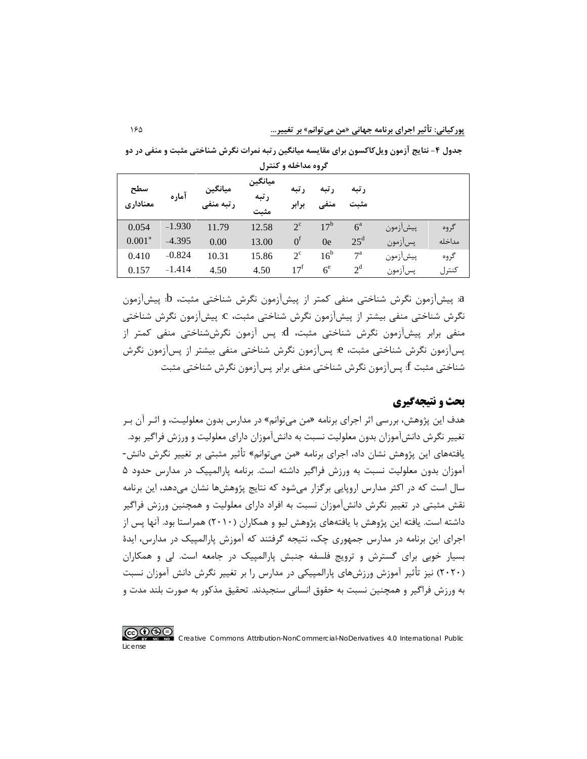**جدول -4 نتایج آزمون ویلکاکسون براي مقایسه میانگین رتبه نمرات نگرش شناختی مثبت و منفی در دو گروه مداخله و کنترل**

| سطح<br>معناداري | آماره    | ميانگين<br>رتبه منف <sub>و</sub> | ميانگين<br>رتبه<br>مثىت | ر تبه<br>برابر    | , تىە           | , تىە<br>مثىت    |          |        |
|-----------------|----------|----------------------------------|-------------------------|-------------------|-----------------|------------------|----------|--------|
| 0.054           | $-1.930$ | 11.79                            | 12.58                   | $2^{\circ}$       | 17 <sup>b</sup> | $6^{\mathrm{a}}$ | پيشأزمون | گر وه  |
| $0.001*$        | $-4.395$ | 0.00                             | 13.00                   | $0^{\rm f}$       | 0e              | $25^{\rm d}$     | پسأزمون  | مداخله |
| 0.410           | $-0.824$ | 10.31                            | 15.86                   | $2^{\circ}$       | 16 <sup>b</sup> | $7^{\rm a}$      | پيشأزمون | گروه   |
| 0.157           | $-1.414$ | 4.50                             | 4.50                    | $17^{\mathrm{f}}$ | 6 <sup>e</sup>  | $2^d$            | پسأزمون  | كنترل  |

a: پیشآزمون نگرش شناختی منفی کمتر از پیشآزمون نگرش شناختی مثبت، b: پیشآزمون نگرش شناختی منفی بیشتر از پیشآزمون نگرش شناختی مثبت، c: پیشآزمون نگرش شناختی منفی برابر پیشآزمون نگرش شناختی مثبت، d: پس آزمون نگرششناختی منفی کمتر از پسآزمون نگرش شناختی مثبت، e: پسآزمون نگرش شناختی منفی بیشتر از پسآزمون نگرش شناختی مثبت f: پسآزمون نگرش شناختی منفی برابر پسآزمون نگرش شناختی مثبت

# **بحث و نتیجهگیري**

هدف این پژوهش، بررسی اثر اجراي برنامه «من میتوانم» در مدارس بدون معلولیـت، و اثـر آن بـر تغییر نگرش دانشآموزان بدون معلولیت نسبت به دانشآموزان داراي معلولیت و ورزش فراگیر بود. یافتههاي این پژوهش نشان داد، اجراي برنامه «من میتوانم» تأثیر مثبتی بر تغییر نگرش دانش- آموزان بدون معلولیت نسبت به ورزش فراگیر داشته است. برنامه پارالمپیک در مدارس حدود 5 سال است که در اکثر مدارس اروپایی برگزار میشود که نتایج پژوهشها نشان میدهد، این برنامه نقش مثبتی در تغییر نگرش دانشآموزان نسبت به افراد داراي معلولیت و همچنین ورزش فراگیر داشته است. یافته این پژوهش با یافتههاي پژوهش لیو و همکاران (2010) همراستا بود. آنها پس از اجراي این برنامه در مدارس جمهوري چک، نتیجه گرفتند که آموزش پارالمپیک در مدارس، ایدة بسیار خوبی براي گسترش و ترویج فلسفه جنبش پارالمپیک در جامعه است. لی و همکاران (2020) نیز تأثیر آموزش ورزشهاي پارالمپیکی در مدارس را بر تغییر نگرش دانش آموزان نسبت به ورزش فراگیر و همچنین نسبت به حقوق انسانی سنجیدند. تحقیق مذکور به صورت بلند مدت و

## <u>@0®0</u>

License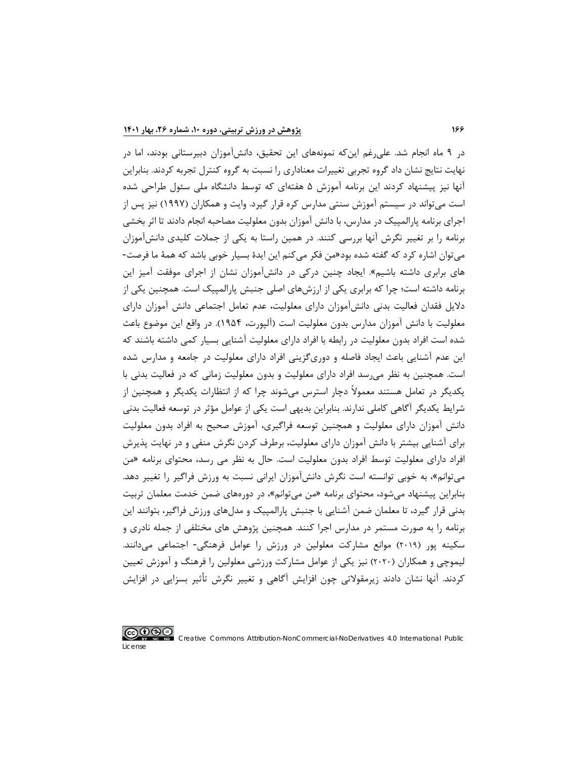در 9 ماه انجام شد. علیرغم اینکه نمونههاي این تحقیق، دانشآموزان دبیرستانی بودند، اما در نهایت نتایج نشان داد گروه تجربی تغییرات معناداري را نسبت به گروه کنترل تجربه کردند. بنابراین آنها نیز پیشنهاد کردند این برنامه آموزش 5 هفتهاي که توسط دانشگاه ملی سئول طراحی شده است میتواند در سیستم آموزش سنتی مدارس کره قرار گیرد. وایت و همکاران (1997) نیز پس از اجراي برنامه پارالمپیک در مدارس، با دانش آموزان بدون معلولیت مصاحبه انجام دادند تا اثر بخشی برنامه را بر تغییر نگرش آنها بررسی کنند. در همین راستا به یکی از جملات کلیدي دانشآموزان میتوان اشاره کرد که گفته شده بود«من فکر میکنم این ایدة بسیار خوبی باشد که همۀ ما فرصت- هاي برابري داشته باشیم». ایجاد چنین درکی در دانشآموزان نشان از اجراي موفقت آمیز این برنامه داشته است؛ چرا که برابري یکی از ارزشهاي اصلی جنبش پارالمپیک است. همچنین یکی از دلایل فقدان فعالیت بدنی دانشآموزان داراي معلولیت، عدم تعامل اجتماعی دانش آموزان داراي معلولیت با دانش آموزان مدارس بدون معلولیت است (آلپورت، 1954). در واقع این موضوع باعث شده است افراد بدون معلولیت در رابطه با افراد داراي معلولیت آشنایی بسیار کمی داشته باشند که این عدم آشنایی باعث ایجاد فاصله و دوريگزینی افراد داراي معلولیت در جامعه و مدارس شده است. همچنین به نظر میرسد افراد داراي معلولیت و بدون معلولیت زمانی که در فعالیت بدنی با یکدیگر در تعامل هستند معمولاً دچار استرس میشوند چرا که از انتظارات یکدیگر و همچنین از شرایط یکدیگر آگاهی کاملی ندارند. بنابراین بدیهی است یکی از عوامل مؤثر در توسعه فعالیت بدنی دانش آموزان داراي معلولیت و همچنین توسعه فراگیري، آموزش صحیح به افراد بدون معلولیت براي آشنایی بیشتر با دانش آموزان داراي معلولیت، برطرف کردن نگرش منفی و در نهایت پذیرش افراد داراي معلولیت توسط افراد بدون معلولیت است. حال به نظر می رسد، محتواي برنامه «من میتوانم»، به خوبی توانسته است نگرش دانشآموزان ایرانی نسبت به ورزش فراگیر را تغییر دهد. بنابراین پیشنهاد میشود، محتواي برنامه «من میتوانم»، در دورههاي ضمن خدمت معلمان تربیت بدنی قرار گیرد، تا معلمان ضمن آشنایی با جنبش پارالمپیک و مدلهاي ورزش فراگیر، بتوانند این برنامه را به صورت مستمر در مدارس اجرا کنند. همچنین پژوهش هاي مختلفی از جمله نادري و سکینه پور (2019) موانع مشارکت معلولین در ورزش را عوامل فرهنگی- اجتماعی میدانند. لیموچی و همکاران (2020) نیز یکی از عوامل مشارکت ورزشی معلولین را فرهنگ و آموزش تعیین کردند. آنها نشان دادند زیرمقولاتی چون افزایش آگاهی و تغییر نگرش تأثیر بسزایی در افزایش

# <u>@0®0</u>

License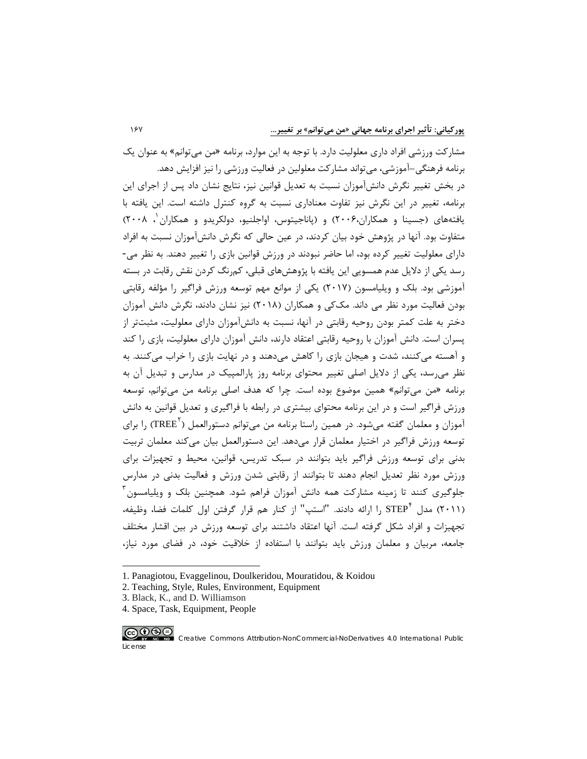مشارکت ورزشی افراد داري معلولیت دارد. با توجه به این موارد، برنامه «من میتوانم» به عنوان یک برنامه فرهنگی–آموزشی، میتواند مشارکت معلولین در فعالیت ورزشی را نیز افزایش دهد. در بخش تغییر نگرش دانشآموزان نسبت به تعدیل قوانین نیز، نتایج نشان داد پس از اجراي این برنامه، تغییر در این نگرش نیز تفاوت معناداري نسبت به گروه کنترل داشته است. این یافته با یافتههای (جسینا و همکاران،۲۰۰۶) و (پاناجیتوس، اواجلنیو، دولکریدو و همکاران ، ۲۰۰۸) متفاوت بود. آنها در پژوهش خود بیان کردند، در عین حالی که نگرش دانشآموزان نسبت به افراد داراي معلولیت تغییر کرده بود، اما حاضر نبودند در ورزش قوانین بازي را تغییر دهند. به نظر می- رسد یکی از دلایل عدم همسویی این یافته با پژوهشهاي قبلی، کمرنگ کردن نقش رقابت در بسته آموزشی بود. بلک و ویلیامسون (2017) یکی از موانع مهم توسعه ورزش فراگیر را مؤلفه رقابتی بودن فعالیت مورد نظر می داند. مککی و همکاران (2018) نیز نشان دادند، نگرش دانش آموزان دختر به علت کمتر بودن روحیه رقابتی در آنها، نسبت به دانشآموزان داراي معلولیت، مثبتتر از پسران است. دانش آموزان با روحیه رقابتی اعتقاد دارند، دانش آموزان داراي معلولیت، بازي را کند و آهسته میکنند، شدت و هیجان بازي را کاهش میدهند و در نهایت بازي را خراب میکنند. به نظر میرسد، یکی از دلایل اصلی تغییر محتواي برنامه روز پارالمپیک در مدارس و تبدیل آن به برنامه «من میتوانم» همین موضوع بوده است. چرا که هدف اصلی برنامه من میتوانم، توسعه ورزش فراگیر است و در این برنامه محتواي بیشتري در رابطه با فراگیري و تعدیل قوانین به دانش آموزان و معلمان گفته میشود. در همین راستا برنامه من میتوانم دستورالعمل ( TREE <sup>۲</sup>) , ا برای توسعه ورزش فراگیر در اختیار معلمان قرار میدهد. این دستورالعمل بیان میکند معلمان تربیت بدنی براي توسعه ورزش فراگیر باید بتوانند در سبک تدریس، قوانین، محیط و تجهیزات براي ورزش مورد نظر تعدیل انجام دهند تا بتوانند از رقابتی شدن ورزش و فعالیت بدنی در مدارس جلوگیری کنند تا زمینه مشارکت همه دانش آموزان فراهم شود. همچنین بلک و ویلیامسون<sup>۳</sup> را ارائه دادند. "استپ" از کنار هم قرار گرفتن اول کلمات فضا، وظیفه، [4](#page-20-3) (2011) مدل STEP تجهیزات و افراد شکل گرفته است. آنها اعتقاد داشتند براي توسعه ورزش در بین اقشار مختلف جامعه، مربیان و معلمان ورزش باید بتوانند با استفاده از خلاقیت خود، در فضاي مورد نیاز،

<span id="page-20-3"></span><span id="page-20-2"></span><sup>4.</sup> Space, Task, Equipment, People



License

 $\overline{a}$ 

<sup>1.</sup> Panagiotou, Evaggelinou, Doulkeridou, Mouratidou, & Koidou

<span id="page-20-0"></span><sup>2.</sup> Teaching, Style, Rules, Environment, Equipment

<span id="page-20-1"></span><sup>3.</sup> Black, K., and D. Williamson

Creative Commons Attribution-NonCommercial-NoDerivatives 4.0 International Public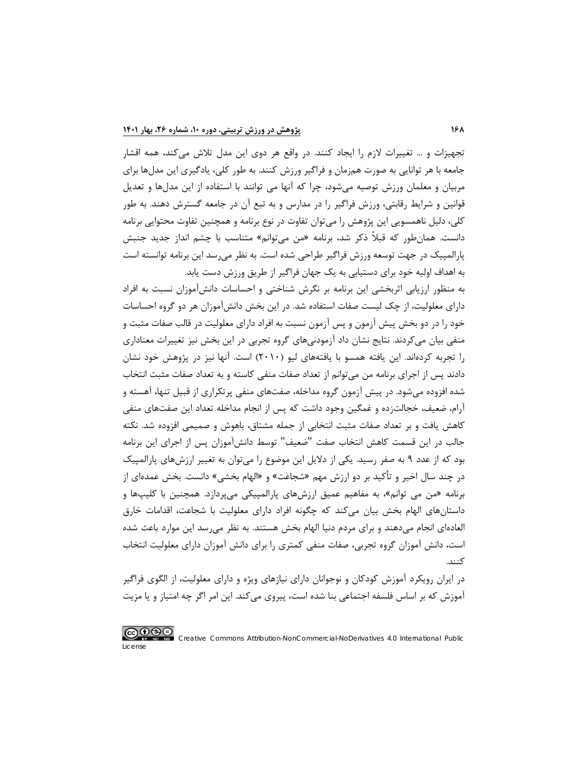تجهیزات و ... تغییرات لازم را ایجاد کنند. در واقع هر دوي این مدل تلاش میکند، همه اقشار جامعه با هر توانایی به صورت همزمان و فراگیر ورزش کنند. به طور کلی، یادگیري این مدلها براي مربیان و معلمان ورزش توصیه میشود، چرا که آنها می توانند با استفاده از این مدلها و تعدیل قوانین و شرایط رقابتی، ورزش فراگیر را در مدارس و به تبع آن در جامعه گسترش دهند. به طور کلی، دلیل ناهمسویی این پژوهش را میتوان تفاوت در نوع برنامه و همچنین تفاوت محتوایی برنامه دانست. همانطور که قبلاً ذکر شد، برنامه «من میتوانم» متناسب با چشم انداز جدید جنبش پارالمپیک در جهت توسعه ورزش فراگیر طراحی شده است. به نظر میرسد این برنامه توانسته است به اهداف اولیه خود براي دستیابی به یک جهان فراگیر از طریق ورزش دست یابد.

به منظور ارزیابی اثربخشی این برنامه بر نگرش شناختی و احساسات دانشآموزان نسبت به افراد داراي معلولیت، از چک لیست صفات استفاده شد. در این بخش دانشآموزان هر دو گروه احساسات خود را در دو بخش پیش آزمون و پس آزمون نسبت به افراد داراي معلولیت در قالب صفات مثبت و منفی بیان میکردند. نتایج نشان داد آزمودنیهاي گروه تجربی در این بخش نیز تغییرات معناداري را تجربه کردهاند. این یافته همسو با یافتههاي لیو (2010) است. آنها نیز در پژوهش خود نشان دادند پس از اجراي برنامه من میتوانم از تعداد صفات منفی کاسته و به تعداد صفات مثبت انتخاب شده افزوده میشود. در پیش آزمون گروه مداخله، صفتهاي منفی پرتکراري از قبیل تنها، آهسته و آرام، ضعیف، خجالتزده و غمگین وجود داشت که پس از انجام مداخله تعداد این صفتهاي منفی کاهش یافت و بر تعداد صفات مثبت انتخابی از جمله مشتاق، باهوش و صمیمی افزوده شد. نکته جالب در این قسمت کاهش انتخاب صفت "ضعیف" توسط دانشآموزان پس از اجراي این برنامه بود که از عدد 9 به صفر رسید. یکی از دلایل این موضوع را میتوان به تغییر ارزشهاي پارالمپیک در چند سال اخیر و تأکید بر دو ارزش مهم «شجاعت» و «الهام بخشی» دانست. بخش عمدهاي از برنامه «من می توانم»، به مفاهیم عمیق ارزشهاي پارالمپیکی میپردازد. همچنین با کلیپها و داستانهاي الهام بخش بیان میکند که چگونه افراد داراي معلولیت با شجاعت، اقدامات خارق العادهاي انجام میدهند و براي مردم دنیا الهام بخش هستند. به نظر میرسد این موارد باعث شده است، دانش آموزان گروه تجربی، صفات منفی کمتري را براي دانش آموزان داراي معلولیت انتخاب کنند.

در ایران رویکرد آموزش کودکان و نوجوانان داراي نیازهاي ویژه و داراي معلولیت، از الگوي فراگیر آموزش که بر اساس فلسفه اجتماعی بنا شده است، پیروي میکند. این امر اگر چه امتیاز و یا مزیت

### <u>@0®0</u>

License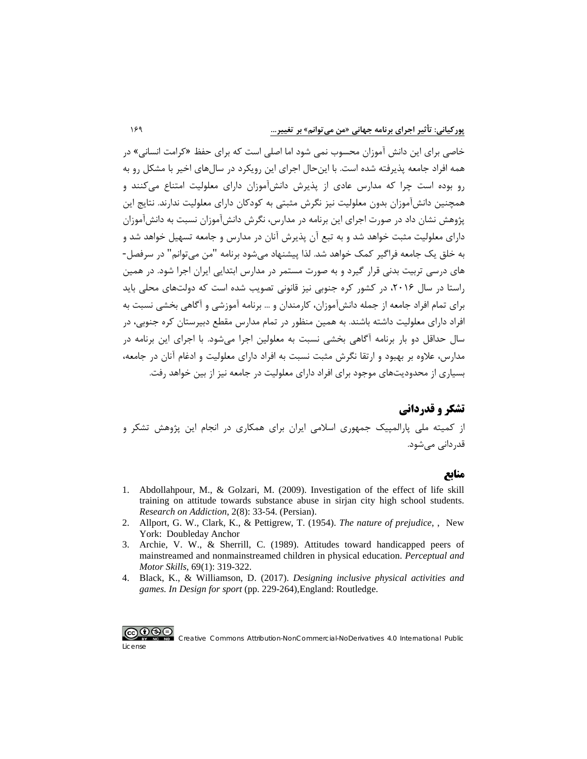خاصی براي این دانش آموزان محسوب نمی شود اما اصلی است که براي حفظ «کرامت انسانی» در همه افراد جامعه پذیرفته شده است. با اینحال اجراي این رویکرد در سالهاي اخیر با مشکل رو به رو بوده است چرا که مدارس عادي از پذیرش دانشآموزان داراي معلولیت امتناع میکنند و همچنین دانشآموزان بدون معلولیت نیز نگرش مثبتی به کودکان داراي معلولیت ندارند. نتایج این پژوهش نشان داد در صورت اجراي این برنامه در مدارس، نگرش دانشآموزان نسبت به دانشآموزان داراي معلولیت مثبت خواهد شد و به تبع آن پذیرش آنان در مدارس و جامعه تسهیل خواهد شد و به خلق یک جامعه فراگیر کمک خواهد شد. لذا پیشنهاد میشود برنامه "من میتوانم" در سرفصل- هاي درسی تربیت بدنی قرار گیرد و به صورت مستمر در مدارس ابتدایی ایران اجرا شود. در همین راستا در سال ۲۰۱۶، در کشور کره جنوبی نیز قانونی تصویب شده است که دولتهای محلی باید براي تمام افراد جامعه از جمله دانشآموزان، کارمندان و ... برنامه آموزشی و آگاهی بخشی نسبت به افراد داراي معلولیت داشته باشند. به همین منظور در تمام مدارس مقطع دبیرستان کره جنوبی، در سال حداقل دو بار برنامه آگاهی بخشی نسبت به معلولین اجرا میشود. با اجراي این برنامه در مدارس، علاوه بر بهبود و ارتقا نگرش مثبت نسبت به افراد داراي معلولیت و ادغام آنان در جامعه، بسیاري از محدودیتهاي موجود براي افراد داراي معلولیت در جامعه نیز از بین خواهد رفت.

# **تشکر و قدردانی** از کمیته ملی پارالمپیک جمهوري اسلامی ایران براي همکاري در انجام این پژوهش تشکر و قدردانی میشود.

#### **منابع**

- 1. [Abdollahpour, M., & Golzari, M. \(2009\). Investigation of the effect of life skill](https://etiadpajohi.ir/article-1-437-fa.html)  [training on attitude towards substance abuse in sirjan city high school students.](https://etiadpajohi.ir/article-1-437-fa.html)  *[Research on Addiction](https://etiadpajohi.ir/article-1-437-fa.html)*, 2(8): 33-54. (Persian).
- 2. [Allport, G. W., Clark, K., & Pettigrew, T. \(1954\).](https://scholar.google.com/scholar?q=Allport,+G.+W.,+Clark,+K.,+%26+Pettigrew,+T.+(1954).&hl=en&as_sdt=0&as_vis=1&oi=scholart) *The nature of prejudice*, , New [York: Doubleday Anchor](https://scholar.google.com/scholar?q=Allport,+G.+W.,+Clark,+K.,+%26+Pettigrew,+T.+(1954).&hl=en&as_sdt=0&as_vis=1&oi=scholart)
- 3. [Archie, V. W., & Sherrill, C. \(1989\). Attitudes toward handicapped peers of](https://pubmed.ncbi.nlm.nih.gov/2528719/)  [mainstreamed and nonmainstreamed children in physical education.](https://pubmed.ncbi.nlm.nih.gov/2528719/) *Perceptual and [Motor Skills](https://pubmed.ncbi.nlm.nih.gov/2528719/)*, 69(1): 319-322.
- 4. Black, K., & Williamson, D. (2017). *[Designing inclusive physical activities and](https://www.taylorfrancis.com/chapters/edit/10.4324/9781315258140-19/designing-inclusive-physical-activities-games-ken-black-doug-williamson)  games. In Design for sport* [\(pp. 229-264\),England: Routledge.](https://www.taylorfrancis.com/chapters/edit/10.4324/9781315258140-19/designing-inclusive-physical-activities-games-ken-black-doug-williamson)

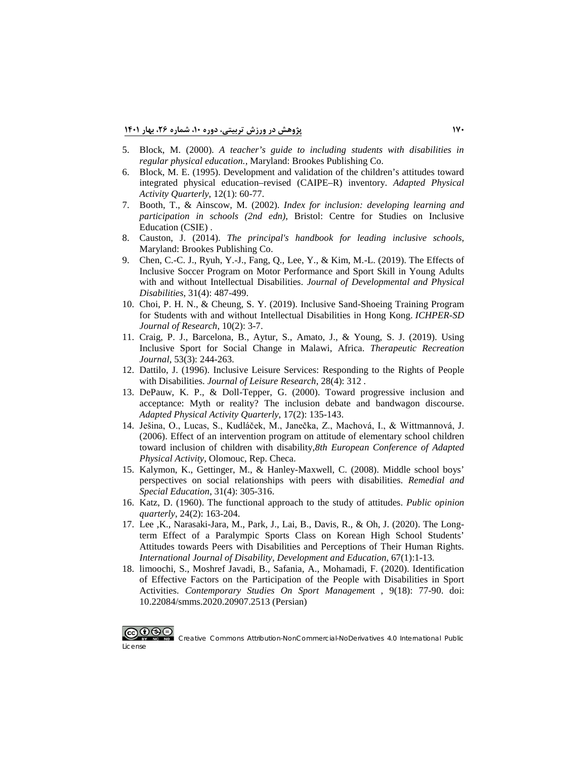- 5. Block, M. (2000). *[A teacher's guide to including students with disabilities in](https://eric.ed.gov/?id=ED497276)  [regular physical education.](https://eric.ed.gov/?id=ED497276)*, Maryland: Brookes Publishing Co.
- 6. [Block, M. E. \(1995\). Development and validation of the children's attitudes toward](https://journals.humankinetics.com/view/journals/apaq/12/1/article-p60.xml)  [integrated physical education–revised \(CAIPE–R\) inventory.](https://journals.humankinetics.com/view/journals/apaq/12/1/article-p60.xml) *Adapted Physical [Activity Quarterly](https://journals.humankinetics.com/view/journals/apaq/12/1/article-p60.xml)*, 12(1): 60-77.
- 7. Booth, T., & Ainscow, M. (2002). *[Index for inclusion: developing learning and](https://eric.ed.gov/?id=ED470516)  participation in schools (2nd edn)*, [Bristol: Centre for Studies on Inclusive](https://eric.ed.gov/?id=ED470516)  [Education \(CSIE\)](https://eric.ed.gov/?id=ED470516) .
- 8. Causton, J. (2014). *[The principal's handbook for leading inclusive](https://products.brookespublishing.com/The-Principals-Handbook-for-Leading-Inclusive-Schools-P696.aspx) schools*, Maryland: [Brookes Publishing Co.](https://products.brookespublishing.com/The-Principals-Handbook-for-Leading-Inclusive-Schools-P696.aspx)
- 9. [Chen, C.-C. J., Ryuh, Y.-J., Fang, Q., Lee, Y., & Kim, M.-L. \(2019\). The Effects of](https://www.proquest.com/docview/2255732036)  [Inclusive Soccer Program on Motor Performance and Sport Skill in Young Adults](https://www.proquest.com/docview/2255732036)  [with and without Intellectual Disabilities.](https://www.proquest.com/docview/2255732036) *Journal of Developmental and Physical [Disabilities](https://www.proquest.com/docview/2255732036)*, 31(4): 487-499.
- 10. [Choi, P. H. N., & Cheung, S. Y. \(2019\). Inclusive Sand-Shoeing Training Program](https://eric.ed.gov/?id=EJ1219525)  [for Students with and without Intellectual Disabilities in Hong Kong.](https://eric.ed.gov/?id=EJ1219525) *ICHPER-SD [Journal of Research](https://eric.ed.gov/?id=EJ1219525)*, 10(2): 3-7.
- 11. [Craig, P. J., Barcelona, B., Aytur, S., Amato, J., & Young, S. J. \(2019\). Using](https://js.sagamorepub.com/trj/article/view/9720)  [Inclusive Sport for Social Change in Malawi, Africa.](https://js.sagamorepub.com/trj/article/view/9720) *Therapeutic Recreation Journal*, 53(3): [244-263.](https://js.sagamorepub.com/trj/article/view/9720)
- 12. [Dattilo, J. \(1996\). Inclusive Leisure Services: Responding to the Rights of People](https://discover.lshtm.ac.uk/discovery/openurl?institution=44HYG_INST&rfr_id=info:sid%252Fprimo.exlibrisgroup.com-bX-Bx&rfr_id=info:sid%2Fprimo.exlibrisgroup.com-29810085-Bx&rft_val_fmt=info:ofi%2Ffmt:kev:mtx:&rft.epage=315&rft.volume=28&rft_id=info:doi%2F&rft.isbn_list=&rft.jtitle=Journal%20of%20leisure%20research&rft.genre=article&rft.issue=4&rft.aulast=Bedini&rft.auinit=L&rft.date=1996&rft.eisbn_list=&rft.spage=312&rft.au=Bedini,%20L&rft.atitle=Inclusive%20leisure%20services:%20Responding%20to%20the%20rights%20of%20people%20with%20disabilities%20-%20Dattilo,J&rft.issn=0022-2216&rft.eissn=2159-6417&svc_dat=CTO&vid=44HYG_INST:44HYG_VU1)  with Disabilities. *[Journal of Leisure Research](https://discover.lshtm.ac.uk/discovery/openurl?institution=44HYG_INST&rfr_id=info:sid%252Fprimo.exlibrisgroup.com-bX-Bx&rfr_id=info:sid%2Fprimo.exlibrisgroup.com-29810085-Bx&rft_val_fmt=info:ofi%2Ffmt:kev:mtx:&rft.epage=315&rft.volume=28&rft_id=info:doi%2F&rft.isbn_list=&rft.jtitle=Journal%20of%20leisure%20research&rft.genre=article&rft.issue=4&rft.aulast=Bedini&rft.auinit=L&rft.date=1996&rft.eisbn_list=&rft.spage=312&rft.au=Bedini,%20L&rft.atitle=Inclusive%20leisure%20services:%20Responding%20to%20the%20rights%20of%20people%20with%20disabilities%20-%20Dattilo,J&rft.issn=0022-2216&rft.eissn=2159-6417&svc_dat=CTO&vid=44HYG_INST:44HYG_VU1)*, 28(4): 312 .
- 13. [DePauw, K. P., & Doll-Tepper, G. \(2000\). Toward progressive inclusion and](https://journals.humankinetics.com/view/journals/apaq/17/2/article-p135.xml)  [acceptance: Myth or reality? The inclusion debate and bandwagon discourse.](https://journals.humankinetics.com/view/journals/apaq/17/2/article-p135.xml)  *[Adapted Physical Activity Quarterly](https://journals.humankinetics.com/view/journals/apaq/17/2/article-p135.xml)*, 17(2): 135-143.
- 14. [Ješina, O., Lucas, S., Kudláček, M., Janečka, Z., Machová, I., & Wittmannová, J.](https://scholar.google.com/scholar?hl=en&as_sdt=0%2C5&q=Effect+of+an+intervention+program+on+attitude+of+elementary+school+children+toward+inclusion+of+children+with+disability.%2C+Paper+presented+at+the+Proccedings+of+the+8th+European+Conference+of+Adapted+Physical+Activity&btnG=)  [\(2006\). Effect of an intervention program on attitude of elementary school children](https://scholar.google.com/scholar?hl=en&as_sdt=0%2C5&q=Effect+of+an+intervention+program+on+attitude+of+elementary+school+children+toward+inclusion+of+children+with+disability.%2C+Paper+presented+at+the+Proccedings+of+the+8th+European+Conference+of+Adapted+Physical+Activity&btnG=)  [toward inclusion of children with disability,](https://scholar.google.com/scholar?hl=en&as_sdt=0%2C5&q=Effect+of+an+intervention+program+on+attitude+of+elementary+school+children+toward+inclusion+of+children+with+disability.%2C+Paper+presented+at+the+Proccedings+of+the+8th+European+Conference+of+Adapted+Physical+Activity&btnG=)*8th European Conference of Adapted Physical Activity*[, Olomouc, Rep. Checa.](https://scholar.google.com/scholar?hl=en&as_sdt=0%2C5&q=Effect+of+an+intervention+program+on+attitude+of+elementary+school+children+toward+inclusion+of+children+with+disability.%2C+Paper+presented+at+the+Proccedings+of+the+8th+European+Conference+of+Adapted+Physical+Activity&btnG=)
- 15. [Kalymon, K., Gettinger, M., & Hanley-Maxwell, C. \(2008\). Middle school boys'](https://journals.sagepub.com/doi/10.1177/0741932508327470)  [perspectives on social relationships with peers with disabilities.](https://journals.sagepub.com/doi/10.1177/0741932508327470) *Remedial and [Special Education](https://journals.sagepub.com/doi/10.1177/0741932508327470)*, 31(4): 305-316.
- 16. [Katz, D. \(1960\). The functional approach to the study of attitudes.](https://academic.oup.com/poq/article-abstract/24/2/163/1884959?redirectedFrom=fulltext) *Public opinion [quarterly](https://academic.oup.com/poq/article-abstract/24/2/163/1884959?redirectedFrom=fulltext)*, 24(2): 163-204.
- 17. [Lee ,K., Narasaki-Jara, M., Park, J., Lai, B., Davis, R., & Oh, J. \(2020\). The Long](https://www.tandfonline.com/doi/abs/10.1080/1034912X.2020.1758303)[term Effect of a Paralympic Sports Class on Korean High School Students'](https://www.tandfonline.com/doi/abs/10.1080/1034912X.2020.1758303)  [Attitudes towards Peers with Disabilities and Perceptions of Their Human Rights.](https://www.tandfonline.com/doi/abs/10.1080/1034912X.2020.1758303)  *[International Journal of Disability, Development and Education](https://www.tandfonline.com/doi/abs/10.1080/1034912X.2020.1758303)*, 67(1):1-13.
- 18. [limoochi, S., Moshref Javadi, B., Safania, A., Mohamadi, F. \(2020\). Identification](https://smms.basu.ac.ir/article_3334.html)  [of Effective Factors on the Participation of the People with Disabilities in Sport](https://smms.basu.ac.ir/article_3334.html)  Activities. *[Contemporary Studies On Sport Managemen](https://smms.basu.ac.ir/article_3334.html)*t , 9(18): 77-90. doi: [10.22084/smms.2020.20907.2513](https://smms.basu.ac.ir/article_3334.html) (Persian)

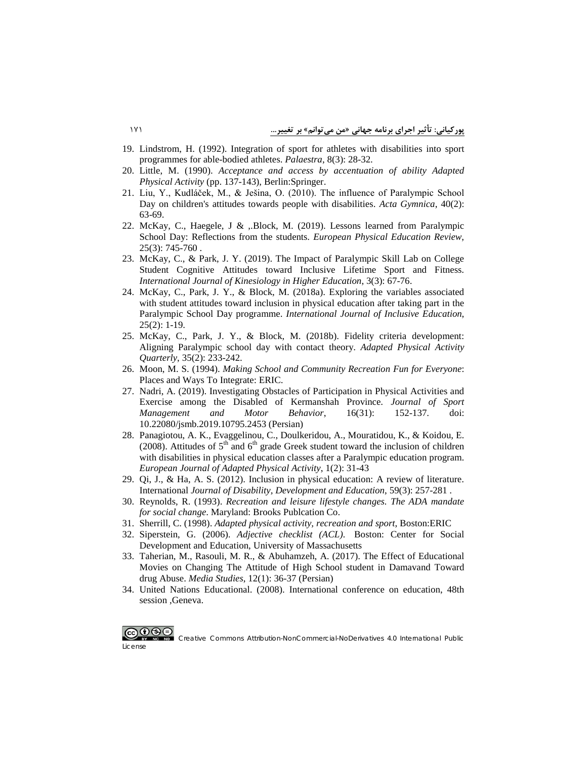- 19. [Lindstrom, H. \(1992\). Integration of sport for athletes with disabilities into sport](https://en.calameo.com/books/003373219d6740a6960a1)  [programmes for able-bodied athletes.](https://en.calameo.com/books/003373219d6740a6960a1) *Palaestra*, 8(3): 28-32.
- 20. Little, M. (1990). *[Acceptance and access by accentuation](https://link.springer.com/chapter/10.1007/978-3-642-74873-8_21) of ability Adapted Physical Activity* [\(pp. 137-143\), Berlin:Springer.](https://link.springer.com/chapter/10.1007/978-3-642-74873-8_21)
- 21. [Liu, Y., Kudláček, M., & Ješina, O. \(2010\). The influence of Paralympic School](https://gymnica.upol.cz/artkey/gym-201002-0007_The_influence_of_Paralympic_School_Day_on_children_s_attitudes_towards_people_with_disabilities.php)  [Day on children's attitudes towards people with disabilities.](https://gymnica.upol.cz/artkey/gym-201002-0007_The_influence_of_Paralympic_School_Day_on_children_s_attitudes_towards_people_with_disabilities.php) *Acta Gymnica*, 40(2): [63-69.](https://gymnica.upol.cz/artkey/gym-201002-0007_The_influence_of_Paralympic_School_Day_on_children_s_attitudes_towards_people_with_disabilities.php)
- 22. [McKay, C., Haegele, J & ,.Block, M. \(2019\). Lessons learned from Paralympic](https://journals.sagepub.com/doi/abs/10.1177/1356336X18768038)  [School Day: Reflections from the students.](https://journals.sagepub.com/doi/abs/10.1177/1356336X18768038) *European Physical Education Review*, 25(3): [745-760](https://journals.sagepub.com/doi/abs/10.1177/1356336X18768038) .
- 23. [McKay, C., & Park, J. Y. \(2019\). The Impact of Paralympic Skill Lab on College](https://www.tandfonline.com/doi/abs/10.1080/24711616.2018.1551732)  Student Cognitive Attitudes [toward Inclusive Lifetime Sport and Fitness.](https://www.tandfonline.com/doi/abs/10.1080/24711616.2018.1551732)  *International Journal of [Kinesiology in Higher Education](https://www.tandfonline.com/doi/abs/10.1080/24711616.2018.1551732)*, 3(3): 67-76.
- 24. [McKay, C., Park, J. Y., & Block, M. \(2018a\). Exploring the variables associated](https://www.tandfonline.com/doi/abs/10.1080/13603116.2018.1550117)  [with student attitudes toward inclusion in physical education after taking part in the](https://www.tandfonline.com/doi/abs/10.1080/13603116.2018.1550117)  Paralympic School Day programme. *[International Journal of Inclusive Education](https://www.tandfonline.com/doi/abs/10.1080/13603116.2018.1550117)*, [25\(2\):](https://www.tandfonline.com/doi/abs/10.1080/13603116.2018.1550117) 1-19.
- 25. [McKay, C., Park, J. Y., & Block, M. \(2018b\). Fidelity criteria development:](https://pubmed.ncbi.nlm.nih.gov/29542327/)  [Aligning Paralympic school day with contact theory.](https://pubmed.ncbi.nlm.nih.gov/29542327/) *Adapted Physical Activity [Quarterly](https://pubmed.ncbi.nlm.nih.gov/29542327/)*, 35(2): 233-242.
- 26. Moon, M. S. (1994). *[Making School and Community Recreation Fun for Everyone](https://eric.ed.gov/?id=ED376626)*: [Places and Ways To Integrate: ERIC.](https://eric.ed.gov/?id=ED376626)
- 27. [Nadri, A. \(2019\). Investigating Obstacles of Participation in Physical Activities and](http://msb.journals.umz.ac.ir/article_2204.html?lang=en)  [Exercise among the Disabled of Kermanshah Province.](http://msb.journals.umz.ac.ir/article_2204.html?lang=en) *Journal of Sport [Management and Motor Behavior](http://msb.journals.umz.ac.ir/article_2204.html?lang=en)*, 16(31): 152-137. doi: [10.22080/jsmb.2019.10795.2453](http://msb.journals.umz.ac.ir/article_2204.html?lang=en) (Persian)
- 28. [Panagiotou, A. K., Evaggelinou, C., Doulkeridou, A., Mouratidou, K., & Koidou, E.](https://eujapa.upol.cz/artkey/euj-200802-0003_attitudes-of-5th-and-6th-grade-greek-students-toward-the-inclusion-of-children-with-disabilities-in-physical-ed.php)  (2008). Attitudes of  $5<sup>th</sup>$  and  $6<sup>th</sup>$  grade Greek student toward the inclusion of children [with disabilities in physical education classes after a Paralympic education program.](https://eujapa.upol.cz/artkey/euj-200802-0003_attitudes-of-5th-and-6th-grade-greek-students-toward-the-inclusion-of-children-with-disabilities-in-physical-ed.php)  *[European Journal of Adapted Physical Activity](https://eujapa.upol.cz/artkey/euj-200802-0003_attitudes-of-5th-and-6th-grade-greek-students-toward-the-inclusion-of-children-with-disabilities-in-physical-ed.php)*, 1(2): 31-43
- 29. [Qi, J., & Ha, A. S. \(2012\). Inclusion in physical education: A review of literature.](https://www.tandfonline.com/doi/abs/10.1080/1034912X.2012.697737)  International *[Journal of Disability, Development and Education](https://www.tandfonline.com/doi/abs/10.1080/1034912X.2012.697737)*, 59(3): 257-281 .
- 30. Reynolds, R. (1993). *[Recreation and leisure lifestyle changes. The ADA mandate](https://eric.ed.gov/?q=Paul+Neubert&id=ED354660)  [for social change](https://eric.ed.gov/?q=Paul+Neubert&id=ED354660)*. Maryland: Brooks Publcation Co.
- 31. Sherrill, C. (1998). *[Adapted physical activity, recreation and sport](https://eric.ed.gov/?id=ED411651)*, Boston:ERIC
- 32. Siperstein, G. (2006). *Adjective checklist (ACL)*. [Boston: Center for Social](https://www.umb.edu/csde/instruments/acl)  [Development and Education, University of Massachusetts](https://www.umb.edu/csde/instruments/acl)
- 33. [Taherian, M., Rasouli, M. R., & Abuhamzeh, A. \(2017\). The Effect of Educational](https://www.sid.ir/en/Journal/ViewPaper.aspx?ID=565591)  [Movies on Changing The Attitude of High School student in Damavand Toward](https://www.sid.ir/en/Journal/ViewPaper.aspx?ID=565591)  drug Abuse. *Media Studies*[, 12\(1\): 36-37 \(Persian\)](https://www.sid.ir/en/Journal/ViewPaper.aspx?ID=565591)
- 34. United Nations Educational. [\(2008\). International conference](https://unesdoc.unesco.org/ark:/48223/pf0000182999) on education, 48th [session ,Geneva.](https://unesdoc.unesco.org/ark:/48223/pf0000182999)